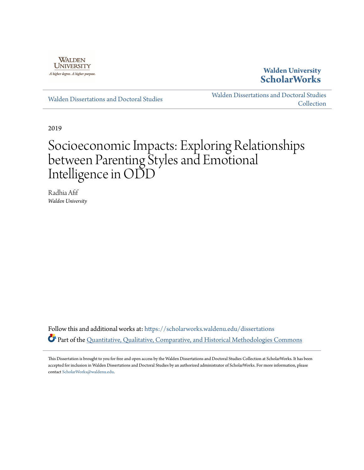

## **Walden University [ScholarWorks](https://scholarworks.waldenu.edu?utm_source=scholarworks.waldenu.edu%2Fdissertations%2F6960&utm_medium=PDF&utm_campaign=PDFCoverPages)**

[Walden Dissertations and Doctoral Studies](https://scholarworks.waldenu.edu/dissertations?utm_source=scholarworks.waldenu.edu%2Fdissertations%2F6960&utm_medium=PDF&utm_campaign=PDFCoverPages)

[Walden Dissertations and Doctoral Studies](https://scholarworks.waldenu.edu/dissanddoc?utm_source=scholarworks.waldenu.edu%2Fdissertations%2F6960&utm_medium=PDF&utm_campaign=PDFCoverPages) **[Collection](https://scholarworks.waldenu.edu/dissanddoc?utm_source=scholarworks.waldenu.edu%2Fdissertations%2F6960&utm_medium=PDF&utm_campaign=PDFCoverPages)** 

2019

# Socioeconomic Impacts: Exploring Relationships between Parenting Styles and Emotional Intelligence in ODD

Radhia Afif *Walden University*

Follow this and additional works at: [https://scholarworks.waldenu.edu/dissertations](https://scholarworks.waldenu.edu/dissertations?utm_source=scholarworks.waldenu.edu%2Fdissertations%2F6960&utm_medium=PDF&utm_campaign=PDFCoverPages) Part of the [Quantitative, Qualitative, Comparative, and Historical Methodologies Commons](http://network.bepress.com/hgg/discipline/423?utm_source=scholarworks.waldenu.edu%2Fdissertations%2F6960&utm_medium=PDF&utm_campaign=PDFCoverPages)

This Dissertation is brought to you for free and open access by the Walden Dissertations and Doctoral Studies Collection at ScholarWorks. It has been accepted for inclusion in Walden Dissertations and Doctoral Studies by an authorized administrator of ScholarWorks. For more information, please contact [ScholarWorks@waldenu.edu](mailto:ScholarWorks@waldenu.edu).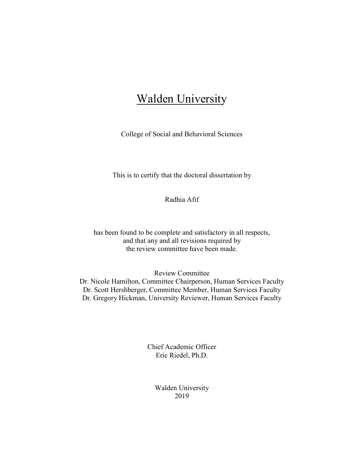## Walden University

College of Social and Behavioral Sciences

This is to certify that the doctoral dissertation by

Radhia Afif

has been found to be complete and satisfactory in all respects, and that any and all revisions required by the review committee have been made.

Review Committee

Dr. Nicole Hamilton, Committee Chairperson, Human Services Faculty Dr. Scott Hershberger, Committee Member, Human Services Faculty Dr. Gregory Hickman, University Reviewer, Human Services Faculty

> Chief Academic Officer Eric Riedel, Ph.D.

> > Walden University 2019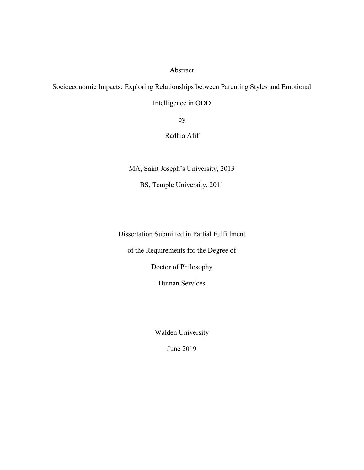## Abstract

Socioeconomic Impacts: Exploring Relationships between Parenting Styles and Emotional

Intelligence in ODD

by

Radhia Afif

MA, Saint Joseph's University, 2013

BS, Temple University, 2011

Dissertation Submitted in Partial Fulfillment

of the Requirements for the Degree of

Doctor of Philosophy

Human Services

Walden University

June 2019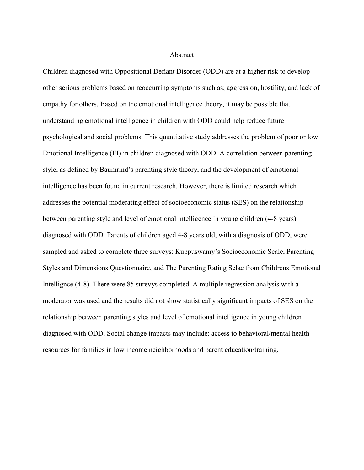## Abstract

Children diagnosed with Oppositional Defiant Disorder (ODD) are at a higher risk to develop other serious problems based on reoccurring symptoms such as; aggression, hostility, and lack of empathy for others. Based on the emotional intelligence theory, it may be possible that understanding emotional intelligence in children with ODD could help reduce future psychological and social problems. This quantitative study addresses the problem of poor or low Emotional Intelligence (EI) in children diagnosed with ODD. A correlation between parenting style, as defined by Baumrind's parenting style theory, and the development of emotional intelligence has been found in current research. However, there is limited research which addresses the potential moderating effect of socioeconomic status (SES) on the relationship between parenting style and level of emotional intelligence in young children (4-8 years) diagnosed with ODD. Parents of children aged 4-8 years old, with a diagnosis of ODD, were sampled and asked to complete three surveys: Kuppuswamy's Socioeconomic Scale, Parenting Styles and Dimensions Questionnaire, and The Parenting Rating Sclae from Childrens Emotional Intellignce (4-8). There were 85 surevys completed. A multiple regression analysis with a moderator was used and the results did not show statistically significant impacts of SES on the relationship between parenting styles and level of emotional intelligence in young children diagnosed with ODD. Social change impacts may include: access to behavioral/mental health resources for families in low income neighborhoods and parent education/training.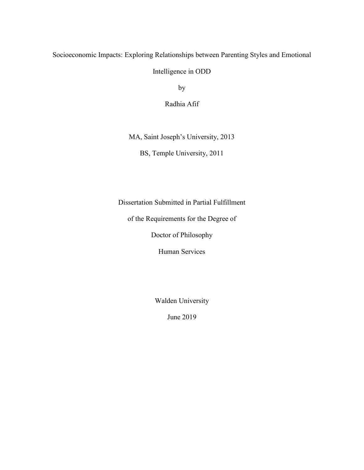## Socioeconomic Impacts: Exploring Relationships between Parenting Styles and Emotional

Intelligence in ODD

by

Radhia Afif

MA, Saint Joseph's University, 2013

BS, Temple University, 2011

Dissertation Submitted in Partial Fulfillment

of the Requirements for the Degree of

Doctor of Philosophy

Human Services

Walden University

June 2019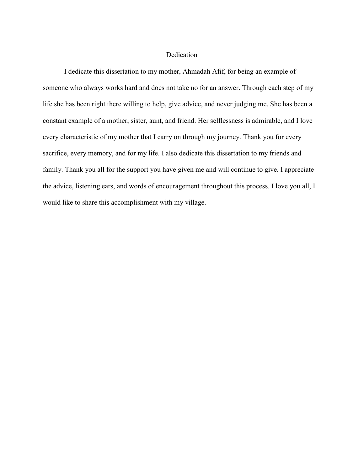## Dedication

I dedicate this dissertation to my mother, Ahmadah Afif, for being an example of someone who always works hard and does not take no for an answer. Through each step of my life she has been right there willing to help, give advice, and never judging me. She has been a constant example of a mother, sister, aunt, and friend. Her selflessness is admirable, and I love every characteristic of my mother that I carry on through my journey. Thank you for every sacrifice, every memory, and for my life. I also dedicate this dissertation to my friends and family. Thank you all for the support you have given me and will continue to give. I appreciate the advice, listening ears, and words of encouragement throughout this process. I love you all, I would like to share this accomplishment with my village.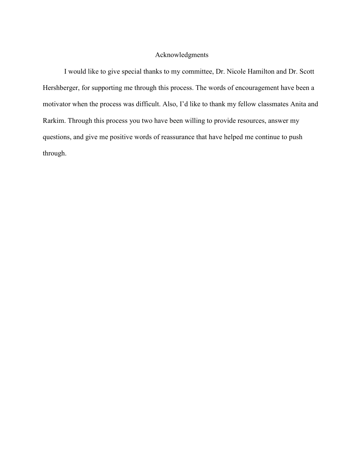## Acknowledgments

I would like to give special thanks to my committee, Dr. Nicole Hamilton and Dr. Scott Hershberger, for supporting me through this process. The words of encouragement have been a motivator when the process was difficult. Also, I'd like to thank my fellow classmates Anita and Rarkim. Through this process you two have been willing to provide resources, answer my questions, and give me positive words of reassurance that have helped me continue to push through.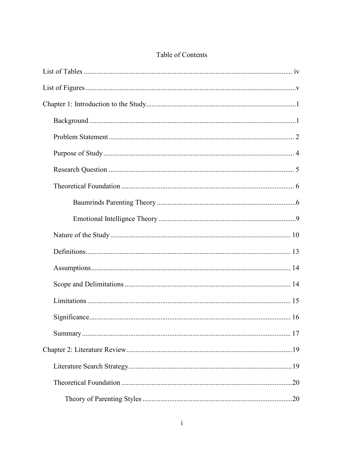## Table of Contents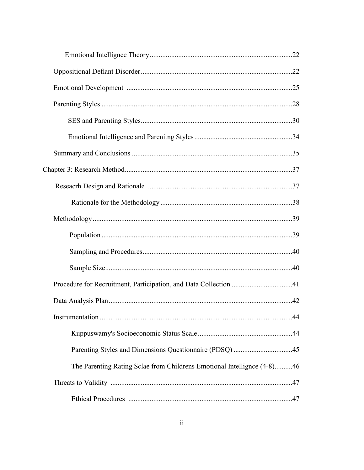| Procedure for Recruitment, Participation, and Data Collection 41        |  |
|-------------------------------------------------------------------------|--|
|                                                                         |  |
|                                                                         |  |
|                                                                         |  |
|                                                                         |  |
| The Parenting Rating Sclae from Childrens Emotional Intellignce (4-8)46 |  |
|                                                                         |  |
|                                                                         |  |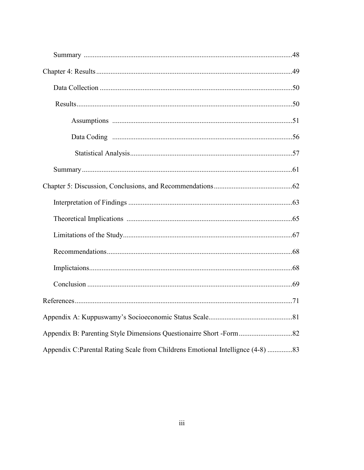| Appendix C:Parental Rating Scale from Childrens Emotional Intellignce (4-8) 83 |  |
|--------------------------------------------------------------------------------|--|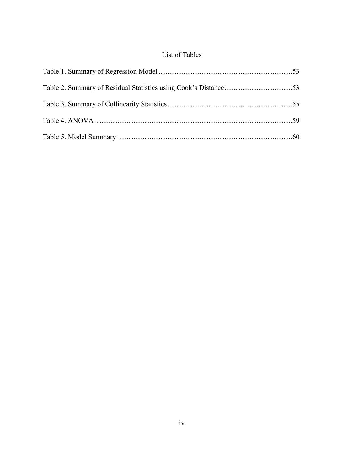## List of Tables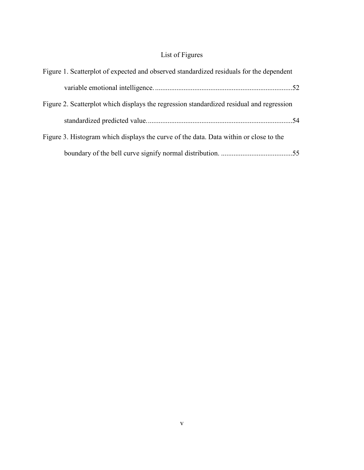## List of Figures

| Figure 1. Scatterplot of expected and observed standardized residuals for the dependent  |  |
|------------------------------------------------------------------------------------------|--|
|                                                                                          |  |
| Figure 2. Scatterplot which displays the regression standardized residual and regression |  |
|                                                                                          |  |
| Figure 3. Histogram which displays the curve of the data. Data within or close to the    |  |
|                                                                                          |  |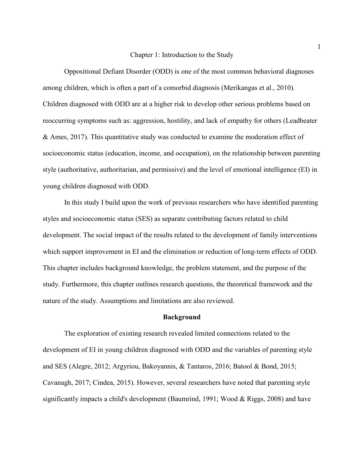#### Chapter 1: Introduction to the Study

Oppositional Defiant Disorder (ODD) is one of the most common behavioral diagnoses among children, which is often a part of a comorbid diagnosis (Merikangas et al., 2010). Children diagnosed with ODD are at a higher risk to develop other serious problems based on reoccurring symptoms such as: aggression, hostility, and lack of empathy for others (Leadbeater & Ames, 2017). This quantitative study was conducted to examine the moderation effect of socioeconomic status (education, income, and occupation), on the relationship between parenting style (authoritative, authoritarian, and permissive) and the level of emotional intelligence (EI) in young children diagnosed with ODD.

In this study I build upon the work of previous researchers who have identified parenting styles and socioeconomic status (SES) as separate contributing factors related to child development. The social impact of the results related to the development of family interventions which support improvement in EI and the elimination or reduction of long-term effects of ODD. This chapter includes background knowledge, the problem statement, and the purpose of the study. Furthermore, this chapter outlines research questions, the theoretical framework and the nature of the study. Assumptions and limitations are also reviewed.

## **Background**

The exploration of existing research revealed limited connections related to the development of EI in young children diagnosed with ODD and the variables of parenting style and SES (Alegre, 2012; Argyriou, Bakoyannis, & Tantaros, 2016; Batool & Bond, 2015; Cavanagh, 2017; Cindea, 2015). However, several researchers have noted that parenting style significantly impacts a child's development (Baumrind, 1991; Wood & Riggs, 2008) and have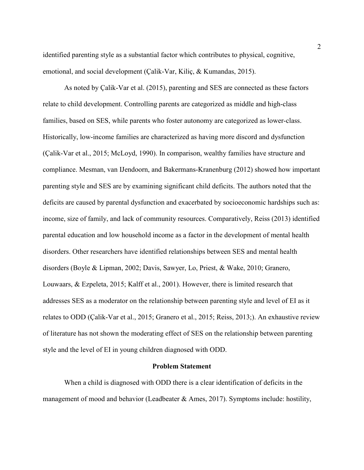identified parenting style as a substantial factor which contributes to physical, cognitive, emotional, and social development (Çalik-Var, Kiliç, & Kumandas, 2015).

As noted by Çalik-Var et al. (2015), parenting and SES are connected as these factors relate to child development. Controlling parents are categorized as middle and high-class families, based on SES, while parents who foster autonomy are categorized as lower-class. Historically, low-income families are characterized as having more discord and dysfunction (Çalik-Var et al., 2015; McLoyd, 1990). In comparison, wealthy families have structure and compliance. Mesman, van IJendoorn, and Bakermans-Kranenburg (2012) showed how important parenting style and SES are by examining significant child deficits. The authors noted that the deficits are caused by parental dysfunction and exacerbated by socioeconomic hardships such as: income, size of family, and lack of community resources. Comparatively, Reiss (2013) identified parental education and low household income as a factor in the development of mental health disorders. Other researchers have identified relationships between SES and mental health disorders (Boyle & Lipman, 2002; Davis, Sawyer, Lo, Priest, & Wake, 2010; Granero, Louwaars, & Ezpeleta, 2015; Kalff et al., 2001). However, there is limited research that addresses SES as a moderator on the relationship between parenting style and level of EI as it relates to ODD (Çalik-Var et al., 2015; Granero et al., 2015; Reiss, 2013;). An exhaustive review of literature has not shown the moderating effect of SES on the relationship between parenting style and the level of EI in young children diagnosed with ODD.

## **Problem Statement**

When a child is diagnosed with ODD there is a clear identification of deficits in the management of mood and behavior (Leadbeater & Ames, 2017). Symptoms include: hostility,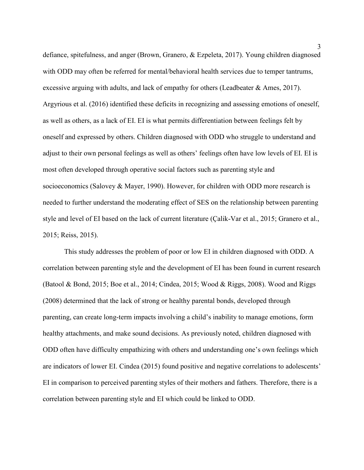defiance, spitefulness, and anger (Brown, Granero, & Ezpeleta, 2017). Young children diagnosed with ODD may often be referred for mental/behavioral health services due to temper tantrums, excessive arguing with adults, and lack of empathy for others (Leadbeater & Ames, 2017). Argyrious et al. (2016) identified these deficits in recognizing and assessing emotions of oneself, as well as others, as a lack of EI. EI is what permits differentiation between feelings felt by oneself and expressed by others. Children diagnosed with ODD who struggle to understand and adjust to their own personal feelings as well as others' feelings often have low levels of EI. EI is most often developed through operative social factors such as parenting style and socioeconomics (Salovey & Mayer, 1990). However, for children with ODD more research is needed to further understand the moderating effect of SES on the relationship between parenting style and level of EI based on the lack of current literature (Çalik-Var et al., 2015; Granero et al., 2015; Reiss, 2015).

This study addresses the problem of poor or low EI in children diagnosed with ODD. A correlation between parenting style and the development of EI has been found in current research (Batool & Bond, 2015; Boe et al., 2014; Cindea, 2015; Wood & Riggs, 2008). Wood and Riggs (2008) determined that the lack of strong or healthy parental bonds, developed through parenting, can create long-term impacts involving a child's inability to manage emotions, form healthy attachments, and make sound decisions. As previously noted, children diagnosed with ODD often have difficulty empathizing with others and understanding one's own feelings which are indicators of lower EI. Cindea (2015) found positive and negative correlations to adolescents' EI in comparison to perceived parenting styles of their mothers and fathers. Therefore, there is a correlation between parenting style and EI which could be linked to ODD.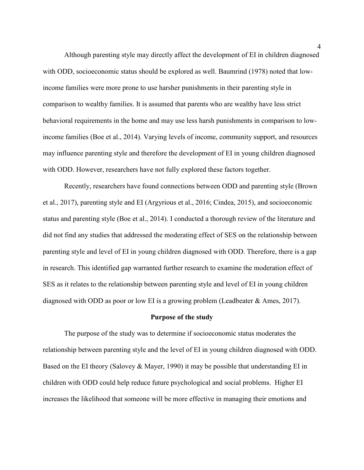Although parenting style may directly affect the development of EI in children diagnosed with ODD, socioeconomic status should be explored as well. Baumrind (1978) noted that lowincome families were more prone to use harsher punishments in their parenting style in comparison to wealthy families. It is assumed that parents who are wealthy have less strict behavioral requirements in the home and may use less harsh punishments in comparison to lowincome families (Boe et al., 2014). Varying levels of income, community support, and resources may influence parenting style and therefore the development of EI in young children diagnosed with ODD. However, researchers have not fully explored these factors together.

Recently, researchers have found connections between ODD and parenting style (Brown et al., 2017), parenting style and EI (Argyrious et al., 2016; Cindea, 2015), and socioeconomic status and parenting style (Boe et al., 2014). I conducted a thorough review of the literature and did not find any studies that addressed the moderating effect of SES on the relationship between parenting style and level of EI in young children diagnosed with ODD. Therefore, there is a gap in research. This identified gap warranted further research to examine the moderation effect of SES as it relates to the relationship between parenting style and level of EI in young children diagnosed with ODD as poor or low EI is a growing problem (Leadbeater & Ames, 2017).

## **Purpose of the study**

The purpose of the study was to determine if socioeconomic status moderates the relationship between parenting style and the level of EI in young children diagnosed with ODD. Based on the EI theory (Salovey & Mayer, 1990) it may be possible that understanding EI in children with ODD could help reduce future psychological and social problems. Higher EI increases the likelihood that someone will be more effective in managing their emotions and

4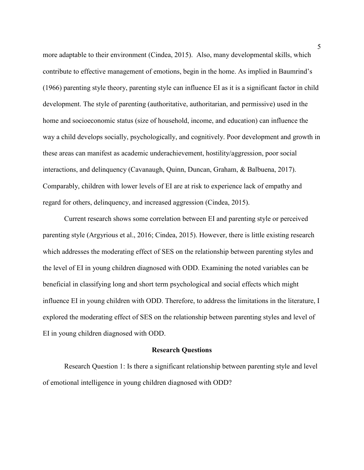more adaptable to their environment (Cindea, 2015). Also, many developmental skills, which contribute to effective management of emotions, begin in the home. As implied in Baumrind's (1966) parenting style theory, parenting style can influence EI as it is a significant factor in child development. The style of parenting (authoritative, authoritarian, and permissive) used in the home and socioeconomic status (size of household, income, and education) can influence the way a child develops socially, psychologically, and cognitively. Poor development and growth in these areas can manifest as academic underachievement, hostility/aggression, poor social interactions, and delinquency (Cavanaugh, Quinn, Duncan, Graham, & Balbuena, 2017). Comparably, children with lower levels of EI are at risk to experience lack of empathy and regard for others, delinquency, and increased aggression (Cindea, 2015).

Current research shows some correlation between EI and parenting style or perceived parenting style (Argyrious et al., 2016; Cindea, 2015). However, there is little existing research which addresses the moderating effect of SES on the relationship between parenting styles and the level of EI in young children diagnosed with ODD. Examining the noted variables can be beneficial in classifying long and short term psychological and social effects which might influence EI in young children with ODD. Therefore, to address the limitations in the literature, I explored the moderating effect of SES on the relationship between parenting styles and level of EI in young children diagnosed with ODD.

## **Research Questions**

Research Question 1: Is there a significant relationship between parenting style and level of emotional intelligence in young children diagnosed with ODD?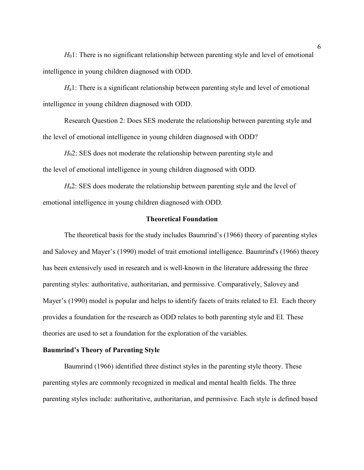*H*<sub>0</sub>1: There is no significant relationship between parenting style and level of emotional intelligence in young children diagnosed with ODD.

*H*<sub>a</sub>1: There is a significant relationship between parenting style and level of emotional intelligence in young children diagnosed with ODD.

Research Question 2: Does SES moderate the relationship between parenting style and the level of emotional intelligence in young children diagnosed with ODD?

*H*02: SES does not moderate the relationship between parenting style and the level of emotional intelligence in young children diagnosed with ODD.

*H*<sub>a</sub>2: SES does moderate the relationship between parenting style and the level of emotional intelligence in young children diagnosed with ODD.

## **Theoretical Foundation**

The theoretical basis for the study includes Baumrind's (1966) theory of parenting styles and Salovey and Mayer's (1990) model of trait emotional intelligence. Baumrind's (1966) theory has been extensively used in research and is well-known in the literature addressing the three parenting styles: authoritative, authoritarian, and permissive. Comparatively, Salovey and Mayer's (1990) model is popular and helps to identify facets of traits related to EI. Each theory provides a foundation for the research as ODD relates to both parenting style and EI. These theories are used to set a foundation for the exploration of the variables.

## **Baumrind's Theory of Parenting Style**

Baumrind (1966) identified three distinct styles in the parenting style theory. These parenting styles are commonly recognized in medical and mental health fields. The three parenting styles include: authoritative, authoritarian, and permissive. Each style is defined based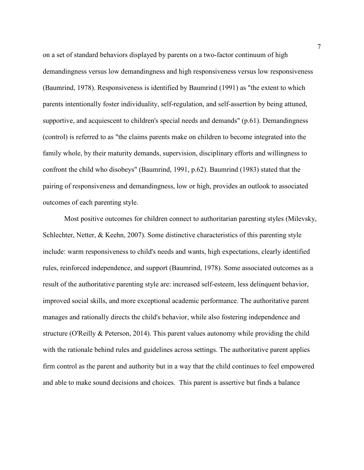on a set of standard behaviors displayed by parents on a two-factor continuum of high demandingness versus low demandingness and high responsiveness versus low responsiveness (Baumrind, 1978). Responsiveness is identified by Baumrind (1991) as "the extent to which parents intentionally foster individuality, self-regulation, and self-assertion by being attuned, supportive, and acquiescent to children's special needs and demands" (p.61). Demandingness (control) is referred to as "the claims parents make on children to become integrated into the family whole, by their maturity demands, supervision, disciplinary efforts and willingness to confront the child who disobeys" (Baumrind, 1991, p.62). Baumrind (1983) stated that the pairing of responsiveness and demandingness, low or high, provides an outlook to associated outcomes of each parenting style.

Most positive outcomes for children connect to authoritarian parenting styles (Milevsky, Schlechter, Netter, & Keehn, 2007). Some distinctive characteristics of this parenting style include: warm responsiveness to child's needs and wants, high expectations, clearly identified rules, reinforced independence, and support (Baumrind, 1978). Some associated outcomes as a result of the authoritative parenting style are: increased self-esteem, less delinquent behavior, improved social skills, and more exceptional academic performance. The authoritative parent manages and rationally directs the child's behavior, while also fostering independence and structure (O'Reilly & Peterson, 2014). This parent values autonomy while providing the child with the rationale behind rules and guidelines across settings. The authoritative parent applies firm control as the parent and authority but in a way that the child continues to feel empowered and able to make sound decisions and choices. This parent is assertive but finds a balance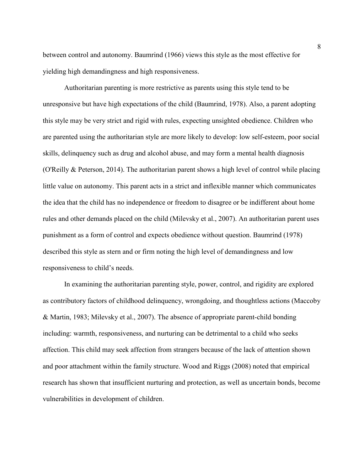between control and autonomy. Baumrind (1966) views this style as the most effective for yielding high demandingness and high responsiveness.

Authoritarian parenting is more restrictive as parents using this style tend to be unresponsive but have high expectations of the child (Baumrind, 1978). Also, a parent adopting this style may be very strict and rigid with rules, expecting unsighted obedience. Children who are parented using the authoritarian style are more likely to develop: low self-esteem, poor social skills, delinquency such as drug and alcohol abuse, and may form a mental health diagnosis (O'Reilly & Peterson, 2014). The authoritarian parent shows a high level of control while placing little value on autonomy. This parent acts in a strict and inflexible manner which communicates the idea that the child has no independence or freedom to disagree or be indifferent about home rules and other demands placed on the child (Milevsky et al., 2007). An authoritarian parent uses punishment as a form of control and expects obedience without question. Baumrind (1978) described this style as stern and or firm noting the high level of demandingness and low responsiveness to child's needs.

In examining the authoritarian parenting style, power, control, and rigidity are explored as contributory factors of childhood delinquency, wrongdoing, and thoughtless actions (Maccoby & Martin, 1983; Milevsky et al., 2007). The absence of appropriate parent-child bonding including: warmth, responsiveness, and nurturing can be detrimental to a child who seeks affection. This child may seek affection from strangers because of the lack of attention shown and poor attachment within the family structure. Wood and Riggs (2008) noted that empirical research has shown that insufficient nurturing and protection, as well as uncertain bonds, become vulnerabilities in development of children.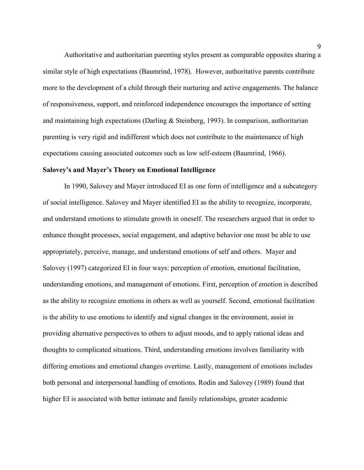Authoritative and authoritarian parenting styles present as comparable opposites sharing a similar style of high expectations (Baumrind, 1978). However, authoritative parents contribute more to the development of a child through their nurturing and active engagements. The balance of responsiveness, support, and reinforced independence encourages the importance of setting and maintaining high expectations (Darling & Steinberg, 1993). In comparison, authoritarian parenting is very rigid and indifferent which does not contribute to the maintenance of high expectations causing associated outcomes such as low self-esteem (Baumrind, 1966).

## **Salovey's and Mayer's Theory on Emotional Intelligence**

In 1990, Salovey and Mayer introduced EI as one form of intelligence and a subcategory of social intelligence. Salovey and Mayer identified EI as the ability to recognize, incorporate, and understand emotions to stimulate growth in oneself. The researchers argued that in order to enhance thought processes, social engagement, and adaptive behavior one must be able to use appropriately, perceive, manage, and understand emotions of self and others. Mayer and Salovey (1997) categorized EI in four ways: perception of emotion, emotional facilitation, understanding emotions, and management of emotions. First, perception of emotion is described as the ability to recognize emotions in others as well as yourself. Second, emotional facilitation is the ability to use emotions to identify and signal changes in the environment, assist in providing alternative perspectives to others to adjust moods, and to apply rational ideas and thoughts to complicated situations. Third, understanding emotions involves familiarity with differing emotions and emotional changes overtime. Lastly, management of emotions includes both personal and interpersonal handling of emotions. Rodin and Salovey (1989) found that higher EI is associated with better intimate and family relationships, greater academic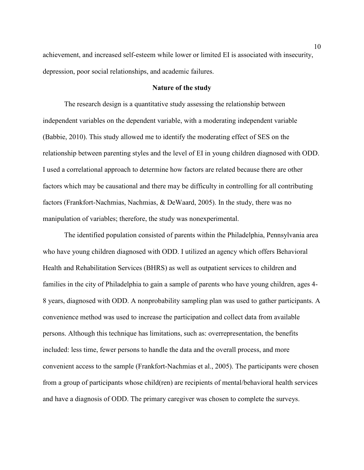achievement, and increased self-esteem while lower or limited EI is associated with insecurity, depression, poor social relationships, and academic failures.

## **Nature of the study**

The research design is a quantitative study assessing the relationship between independent variables on the dependent variable, with a moderating independent variable (Babbie, 2010). This study allowed me to identify the moderating effect of SES on the relationship between parenting styles and the level of EI in young children diagnosed with ODD. I used a correlational approach to determine how factors are related because there are other factors which may be causational and there may be difficulty in controlling for all contributing factors (Frankfort-Nachmias, Nachmias, & DeWaard, 2005). In the study, there was no manipulation of variables; therefore, the study was nonexperimental.

The identified population consisted of parents within the Philadelphia, Pennsylvania area who have young children diagnosed with ODD. I utilized an agency which offers Behavioral Health and Rehabilitation Services (BHRS) as well as outpatient services to children and families in the city of Philadelphia to gain a sample of parents who have young children, ages 4- 8 years, diagnosed with ODD. A nonprobability sampling plan was used to gather participants. A convenience method was used to increase the participation and collect data from available persons. Although this technique has limitations, such as: overrepresentation, the benefits included: less time, fewer persons to handle the data and the overall process, and more convenient access to the sample (Frankfort-Nachmias et al., 2005). The participants were chosen from a group of participants whose child(ren) are recipients of mental/behavioral health services and have a diagnosis of ODD. The primary caregiver was chosen to complete the surveys.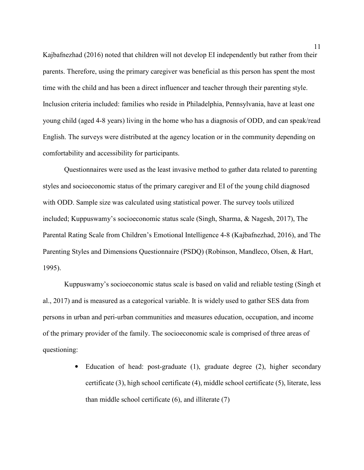Kajbafnezhad (2016) noted that children will not develop EI independently but rather from their parents. Therefore, using the primary caregiver was beneficial as this person has spent the most time with the child and has been a direct influencer and teacher through their parenting style. Inclusion criteria included: families who reside in Philadelphia, Pennsylvania, have at least one young child (aged 4-8 years) living in the home who has a diagnosis of ODD, and can speak/read English. The surveys were distributed at the agency location or in the community depending on comfortability and accessibility for participants.

Questionnaires were used as the least invasive method to gather data related to parenting styles and socioeconomic status of the primary caregiver and EI of the young child diagnosed with ODD. Sample size was calculated using statistical power. The survey tools utilized included; Kuppuswamy's socioeconomic status scale (Singh, Sharma, & Nagesh, 2017), The Parental Rating Scale from Children's Emotional Intelligence 4-8 (Kajbafnezhad, 2016), and The Parenting Styles and Dimensions Questionnaire (PSDQ) (Robinson, Mandleco, Olsen, & Hart, 1995).

Kuppuswamy's socioeconomic status scale is based on valid and reliable testing (Singh et al., 2017) and is measured as a categorical variable. It is widely used to gather SES data from persons in urban and peri-urban communities and measures education, occupation, and income of the primary provider of the family. The socioeconomic scale is comprised of three areas of questioning:

> • Education of head: post-graduate (1), graduate degree (2), higher secondary certificate (3), high school certificate (4), middle school certificate (5), literate, less than middle school certificate (6), and illiterate (7)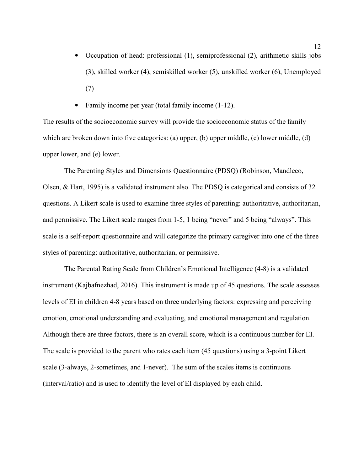- Occupation of head: professional (1), semiprofessional (2), arithmetic skills jobs (3), skilled worker (4), semiskilled worker (5), unskilled worker (6), Unemployed (7)
- Family income per year (total family income  $(1-12)$ .

The results of the socioeconomic survey will provide the socioeconomic status of the family which are broken down into five categories: (a) upper, (b) upper middle, (c) lower middle, (d) upper lower, and (e) lower.

The Parenting Styles and Dimensions Questionnaire (PDSQ) (Robinson, Mandleco, Olsen, & Hart, 1995) is a validated instrument also. The PDSQ is categorical and consists of 32 questions. A Likert scale is used to examine three styles of parenting: authoritative, authoritarian, and permissive. The Likert scale ranges from 1-5, 1 being "never" and 5 being "always". This scale is a self-report questionnaire and will categorize the primary caregiver into one of the three styles of parenting: authoritative, authoritarian, or permissive.

The Parental Rating Scale from Children's Emotional Intelligence (4-8) is a validated instrument (Kajbafnezhad, 2016). This instrument is made up of 45 questions. The scale assesses levels of EI in children 4-8 years based on three underlying factors: expressing and perceiving emotion, emotional understanding and evaluating, and emotional management and regulation. Although there are three factors, there is an overall score, which is a continuous number for EI. The scale is provided to the parent who rates each item (45 questions) using a 3-point Likert scale (3-always, 2-sometimes, and 1-never). The sum of the scales items is continuous (interval/ratio) and is used to identify the level of EI displayed by each child.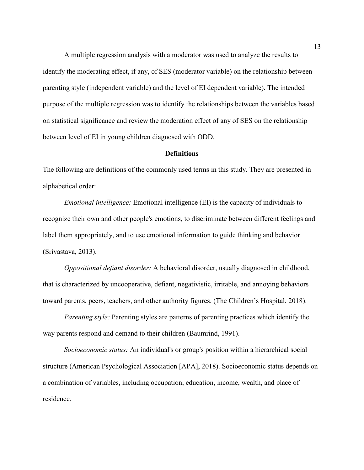A multiple regression analysis with a moderator was used to analyze the results to identify the moderating effect, if any, of SES (moderator variable) on the relationship between parenting style (independent variable) and the level of EI dependent variable). The intended purpose of the multiple regression was to identify the relationships between the variables based on statistical significance and review the moderation effect of any of SES on the relationship between level of EI in young children diagnosed with ODD.

## **Definitions**

The following are definitions of the commonly used terms in this study. They are presented in alphabetical order:

*Emotional intelligence:* Emotional intelligence (EI) is the capacity of individuals to recognize their own and other people's emotions, to discriminate between different feelings and label them appropriately, and to use emotional information to guide thinking and behavior (Srivastava, 2013).

*Oppositional defiant disorder:* A behavioral disorder, usually diagnosed in childhood, that is characterized by uncooperative, defiant, negativistic, irritable, and annoying behaviors toward parents, peers, teachers, and other authority figures. (The Children's Hospital, 2018).

*Parenting style:* Parenting styles are patterns of parenting practices which identify the way parents respond and demand to their children (Baumrind, 1991).

*Socioeconomic status:* An individual's or group's position within a hierarchical social structure (American Psychological Association [APA], 2018). Socioeconomic status depends on a combination of variables, including occupation, education, income, wealth, and place of residence.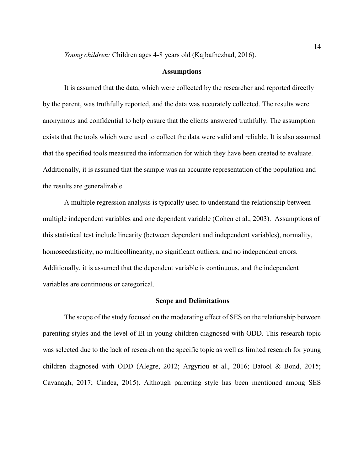*Young children:* Children ages 4-8 years old (Kajbafnezhad, 2016).

### **Assumptions**

It is assumed that the data, which were collected by the researcher and reported directly by the parent, was truthfully reported, and the data was accurately collected. The results were anonymous and confidential to help ensure that the clients answered truthfully. The assumption exists that the tools which were used to collect the data were valid and reliable. It is also assumed that the specified tools measured the information for which they have been created to evaluate. Additionally, it is assumed that the sample was an accurate representation of the population and the results are generalizable.

A multiple regression analysis is typically used to understand the relationship between multiple independent variables and one dependent variable (Cohen et al., 2003). Assumptions of this statistical test include linearity (between dependent and independent variables), normality, homoscedasticity, no multicollinearity, no significant outliers, and no independent errors. Additionally, it is assumed that the dependent variable is continuous, and the independent variables are continuous or categorical.

#### **Scope and Delimitations**

The scope of the study focused on the moderating effect of SES on the relationship between parenting styles and the level of EI in young children diagnosed with ODD. This research topic was selected due to the lack of research on the specific topic as well as limited research for young children diagnosed with ODD (Alegre, 2012; Argyriou et al., 2016; Batool & Bond, 2015; Cavanagh, 2017; Cindea, 2015). Although parenting style has been mentioned among SES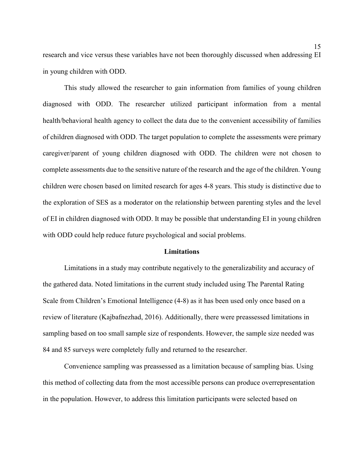research and vice versus these variables have not been thoroughly discussed when addressing EI in young children with ODD.

This study allowed the researcher to gain information from families of young children diagnosed with ODD. The researcher utilized participant information from a mental health/behavioral health agency to collect the data due to the convenient accessibility of families of children diagnosed with ODD. The target population to complete the assessments were primary caregiver/parent of young children diagnosed with ODD. The children were not chosen to complete assessments due to the sensitive nature of the research and the age of the children. Young children were chosen based on limited research for ages 4-8 years. This study is distinctive due to the exploration of SES as a moderator on the relationship between parenting styles and the level of EI in children diagnosed with ODD. It may be possible that understanding EI in young children with ODD could help reduce future psychological and social problems.

## **Limitations**

Limitations in a study may contribute negatively to the generalizability and accuracy of the gathered data. Noted limitations in the current study included using The Parental Rating Scale from Children's Emotional Intelligence (4-8) as it has been used only once based on a review of literature (Kajbafnezhad, 2016). Additionally, there were preassessed limitations in sampling based on too small sample size of respondents. However, the sample size needed was 84 and 85 surveys were completely fully and returned to the researcher.

Convenience sampling was preassessed as a limitation because of sampling bias. Using this method of collecting data from the most accessible persons can produce overrepresentation in the population. However, to address this limitation participants were selected based on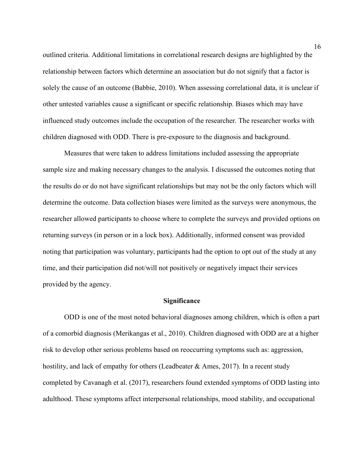outlined criteria. Additional limitations in correlational research designs are highlighted by the relationship between factors which determine an association but do not signify that a factor is solely the cause of an outcome (Babbie, 2010). When assessing correlational data, it is unclear if other untested variables cause a significant or specific relationship. Biases which may have influenced study outcomes include the occupation of the researcher. The researcher works with children diagnosed with ODD. There is pre-exposure to the diagnosis and background.

Measures that were taken to address limitations included assessing the appropriate sample size and making necessary changes to the analysis. I discussed the outcomes noting that the results do or do not have significant relationships but may not be the only factors which will determine the outcome. Data collection biases were limited as the surveys were anonymous, the researcher allowed participants to choose where to complete the surveys and provided options on returning surveys (in person or in a lock box). Additionally, informed consent was provided noting that participation was voluntary, participants had the option to opt out of the study at any time, and their participation did not/will not positively or negatively impact their services provided by the agency.

### **Significance**

ODD is one of the most noted behavioral diagnoses among children, which is often a part of a comorbid diagnosis (Merikangas et al., 2010). Children diagnosed with ODD are at a higher risk to develop other serious problems based on reoccurring symptoms such as: aggression, hostility, and lack of empathy for others (Leadbeater  $&$  Ames, 2017). In a recent study completed by Cavanagh et al. (2017), researchers found extended symptoms of ODD lasting into adulthood. These symptoms affect interpersonal relationships, mood stability, and occupational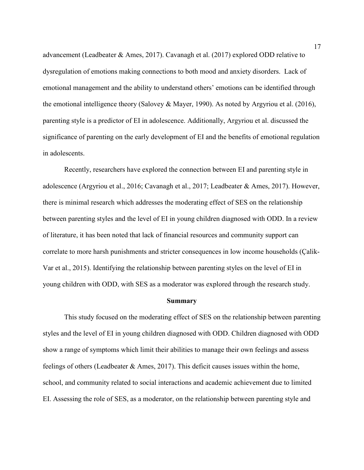advancement (Leadbeater & Ames, 2017). Cavanagh et al. (2017) explored ODD relative to dysregulation of emotions making connections to both mood and anxiety disorders. Lack of emotional management and the ability to understand others' emotions can be identified through the emotional intelligence theory (Salovey & Mayer, 1990). As noted by Argyriou et al. (2016), parenting style is a predictor of EI in adolescence. Additionally, Argyriou et al. discussed the significance of parenting on the early development of EI and the benefits of emotional regulation in adolescents.

Recently, researchers have explored the connection between EI and parenting style in adolescence (Argyriou et al., 2016; Cavanagh et al., 2017; Leadbeater & Ames, 2017). However, there is minimal research which addresses the moderating effect of SES on the relationship between parenting styles and the level of EI in young children diagnosed with ODD. In a review of literature, it has been noted that lack of financial resources and community support can correlate to more harsh punishments and stricter consequences in low income households (Çalik-Var et al., 2015). Identifying the relationship between parenting styles on the level of EI in young children with ODD, with SES as a moderator was explored through the research study.

### **Summary**

This study focused on the moderating effect of SES on the relationship between parenting styles and the level of EI in young children diagnosed with ODD. Children diagnosed with ODD show a range of symptoms which limit their abilities to manage their own feelings and assess feelings of others (Leadbeater  $\&$  Ames, 2017). This deficit causes issues within the home, school, and community related to social interactions and academic achievement due to limited EI. Assessing the role of SES, as a moderator, on the relationship between parenting style and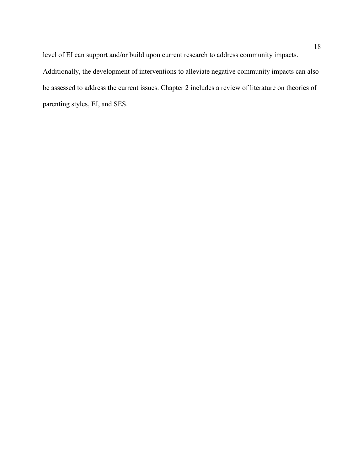level of EI can support and/or build upon current research to address community impacts. Additionally, the development of interventions to alleviate negative community impacts can also be assessed to address the current issues. Chapter 2 includes a review of literature on theories of parenting styles, EI, and SES.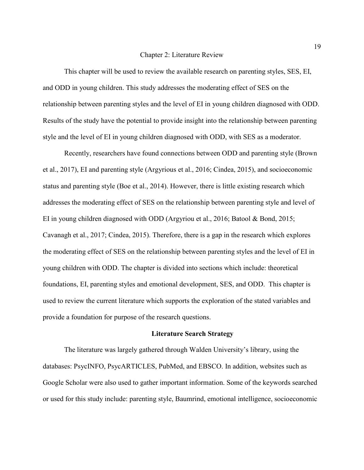#### Chapter 2: Literature Review

This chapter will be used to review the available research on parenting styles, SES, EI, and ODD in young children. This study addresses the moderating effect of SES on the relationship between parenting styles and the level of EI in young children diagnosed with ODD. Results of the study have the potential to provide insight into the relationship between parenting style and the level of EI in young children diagnosed with ODD, with SES as a moderator.

Recently, researchers have found connections between ODD and parenting style (Brown et al., 2017), EI and parenting style (Argyrious et al., 2016; Cindea, 2015), and socioeconomic status and parenting style (Boe et al., 2014). However, there is little existing research which addresses the moderating effect of SES on the relationship between parenting style and level of EI in young children diagnosed with ODD (Argyriou et al., 2016; Batool & Bond, 2015; Cavanagh et al., 2017; Cindea, 2015). Therefore, there is a gap in the research which explores the moderating effect of SES on the relationship between parenting styles and the level of EI in young children with ODD. The chapter is divided into sections which include: theoretical foundations, EI, parenting styles and emotional development, SES, and ODD. This chapter is used to review the current literature which supports the exploration of the stated variables and provide a foundation for purpose of the research questions.

## **Literature Search Strategy**

The literature was largely gathered through Walden University's library, using the databases: PsycINFO, PsycARTICLES, PubMed, and EBSCO. In addition, websites such as Google Scholar were also used to gather important information. Some of the keywords searched or used for this study include: parenting style, Baumrind, emotional intelligence, socioeconomic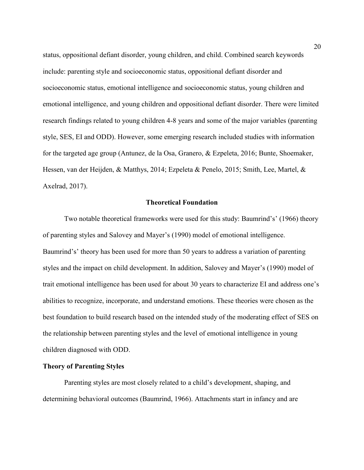status, oppositional defiant disorder, young children, and child. Combined search keywords include: parenting style and socioeconomic status, oppositional defiant disorder and socioeconomic status, emotional intelligence and socioeconomic status, young children and emotional intelligence, and young children and oppositional defiant disorder. There were limited research findings related to young children 4-8 years and some of the major variables (parenting style, SES, EI and ODD). However, some emerging research included studies with information for the targeted age group (Antunez, de la Osa, Granero, & Ezpeleta, 2016; Bunte, Shoemaker, Hessen, van der Heijden, & Matthys, 2014; Ezpeleta & Penelo, 2015; Smith, Lee, Martel, & Axelrad, 2017).

## **Theoretical Foundation**

Two notable theoretical frameworks were used for this study: Baumrind's' (1966) theory of parenting styles and Salovey and Mayer's (1990) model of emotional intelligence. Baumrind's' theory has been used for more than 50 years to address a variation of parenting styles and the impact on child development. In addition, Salovey and Mayer's (1990) model of trait emotional intelligence has been used for about 30 years to characterize EI and address one's abilities to recognize, incorporate, and understand emotions. These theories were chosen as the best foundation to build research based on the intended study of the moderating effect of SES on the relationship between parenting styles and the level of emotional intelligence in young children diagnosed with ODD.

## **Theory of Parenting Styles**

Parenting styles are most closely related to a child's development, shaping, and determining behavioral outcomes (Baumrind, 1966). Attachments start in infancy and are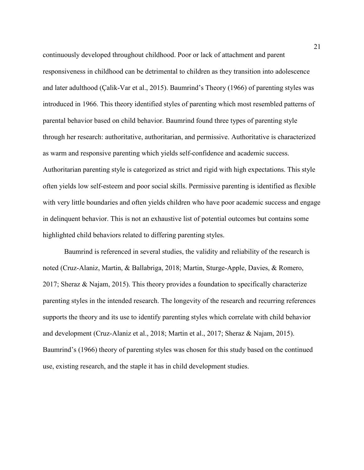continuously developed throughout childhood. Poor or lack of attachment and parent responsiveness in childhood can be detrimental to children as they transition into adolescence and later adulthood (Çalik-Var et al., 2015). Baumrind's Theory (1966) of parenting styles was introduced in 1966. This theory identified styles of parenting which most resembled patterns of parental behavior based on child behavior. Baumrind found three types of parenting style through her research: authoritative, authoritarian, and permissive. Authoritative is characterized as warm and responsive parenting which yields self-confidence and academic success. Authoritarian parenting style is categorized as strict and rigid with high expectations. This style often yields low self-esteem and poor social skills. Permissive parenting is identified as flexible with very little boundaries and often yields children who have poor academic success and engage in delinquent behavior. This is not an exhaustive list of potential outcomes but contains some highlighted child behaviors related to differing parenting styles.

Baumrind is referenced in several studies, the validity and reliability of the research is noted (Cruz-Alaniz, Martin, & Ballabriga, 2018; Martin, Sturge-Apple, Davies, & Romero, 2017; Sheraz & Najam, 2015). This theory provides a foundation to specifically characterize parenting styles in the intended research. The longevity of the research and recurring references supports the theory and its use to identify parenting styles which correlate with child behavior and development (Cruz-Alaniz et al., 2018; Martin et al., 2017; Sheraz & Najam, 2015). Baumrind's (1966) theory of parenting styles was chosen for this study based on the continued use, existing research, and the staple it has in child development studies.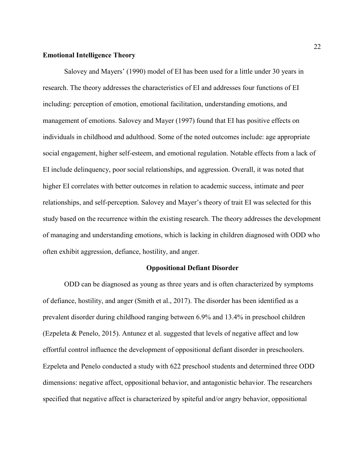## **Emotional Intelligence Theory**

Salovey and Mayers' (1990) model of EI has been used for a little under 30 years in research. The theory addresses the characteristics of EI and addresses four functions of EI including: perception of emotion, emotional facilitation, understanding emotions, and management of emotions. Salovey and Mayer (1997) found that EI has positive effects on individuals in childhood and adulthood. Some of the noted outcomes include: age appropriate social engagement, higher self-esteem, and emotional regulation. Notable effects from a lack of EI include delinquency, poor social relationships, and aggression. Overall, it was noted that higher EI correlates with better outcomes in relation to academic success, intimate and peer relationships, and self-perception. Salovey and Mayer's theory of trait EI was selected for this study based on the recurrence within the existing research. The theory addresses the development of managing and understanding emotions, which is lacking in children diagnosed with ODD who often exhibit aggression, defiance, hostility, and anger.

## **Oppositional Defiant Disorder**

ODD can be diagnosed as young as three years and is often characterized by symptoms of defiance, hostility, and anger (Smith et al., 2017). The disorder has been identified as a prevalent disorder during childhood ranging between 6.9% and 13.4% in preschool children (Ezpeleta & Penelo, 2015). Antunez et al. suggested that levels of negative affect and low effortful control influence the development of oppositional defiant disorder in preschoolers. Ezpeleta and Penelo conducted a study with 622 preschool students and determined three ODD dimensions: negative affect, oppositional behavior, and antagonistic behavior. The researchers specified that negative affect is characterized by spiteful and/or angry behavior, oppositional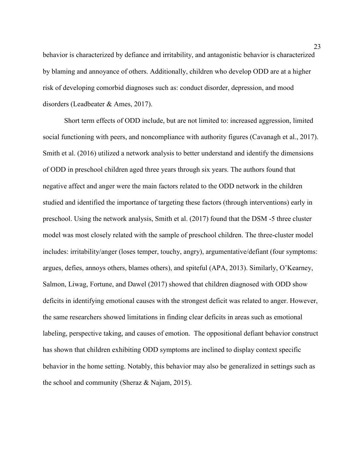behavior is characterized by defiance and irritability, and antagonistic behavior is characterized by blaming and annoyance of others. Additionally, children who develop ODD are at a higher risk of developing comorbid diagnoses such as: conduct disorder, depression, and mood disorders (Leadbeater & Ames, 2017).

Short term effects of ODD include, but are not limited to: increased aggression, limited social functioning with peers, and noncompliance with authority figures (Cavanagh et al., 2017). Smith et al. (2016) utilized a network analysis to better understand and identify the dimensions of ODD in preschool children aged three years through six years. The authors found that negative affect and anger were the main factors related to the ODD network in the children studied and identified the importance of targeting these factors (through interventions) early in preschool. Using the network analysis, Smith et al. (2017) found that the DSM -5 three cluster model was most closely related with the sample of preschool children. The three-cluster model includes: irritability/anger (loses temper, touchy, angry), argumentative/defiant (four symptoms: argues, defies, annoys others, blames others), and spiteful (APA, 2013). Similarly, O'Kearney, Salmon, Liwag, Fortune, and Dawel (2017) showed that children diagnosed with ODD show deficits in identifying emotional causes with the strongest deficit was related to anger. However, the same researchers showed limitations in finding clear deficits in areas such as emotional labeling, perspective taking, and causes of emotion. The oppositional defiant behavior construct has shown that children exhibiting ODD symptoms are inclined to display context specific behavior in the home setting. Notably, this behavior may also be generalized in settings such as the school and community (Sheraz & Najam, 2015).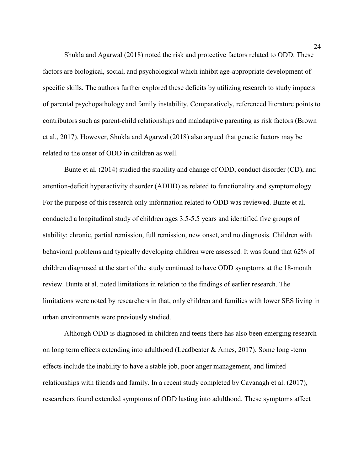Shukla and Agarwal (2018) noted the risk and protective factors related to ODD. These factors are biological, social, and psychological which inhibit age-appropriate development of specific skills. The authors further explored these deficits by utilizing research to study impacts of parental psychopathology and family instability. Comparatively, referenced literature points to contributors such as parent-child relationships and maladaptive parenting as risk factors (Brown et al., 2017). However, Shukla and Agarwal (2018) also argued that genetic factors may be related to the onset of ODD in children as well.

Bunte et al. (2014) studied the stability and change of ODD, conduct disorder (CD), and attention-deficit hyperactivity disorder (ADHD) as related to functionality and symptomology. For the purpose of this research only information related to ODD was reviewed. Bunte et al. conducted a longitudinal study of children ages 3.5-5.5 years and identified five groups of stability: chronic, partial remission, full remission, new onset, and no diagnosis. Children with behavioral problems and typically developing children were assessed. It was found that 62% of children diagnosed at the start of the study continued to have ODD symptoms at the 18-month review. Bunte et al. noted limitations in relation to the findings of earlier research. The limitations were noted by researchers in that, only children and families with lower SES living in urban environments were previously studied.

Although ODD is diagnosed in children and teens there has also been emerging research on long term effects extending into adulthood (Leadbeater & Ames, 2017). Some long -term effects include the inability to have a stable job, poor anger management, and limited relationships with friends and family. In a recent study completed by Cavanagh et al. (2017), researchers found extended symptoms of ODD lasting into adulthood. These symptoms affect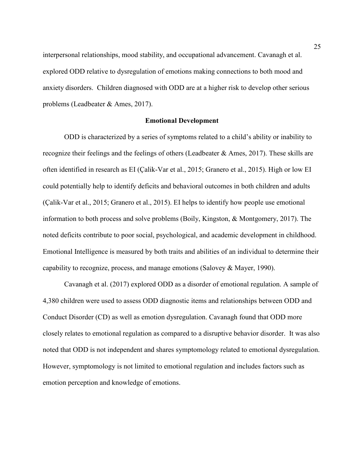interpersonal relationships, mood stability, and occupational advancement. Cavanagh et al. explored ODD relative to dysregulation of emotions making connections to both mood and anxiety disorders. Children diagnosed with ODD are at a higher risk to develop other serious problems (Leadbeater & Ames, 2017).

### **Emotional Development**

ODD is characterized by a series of symptoms related to a child's ability or inability to recognize their feelings and the feelings of others (Leadbeater & Ames, 2017). These skills are often identified in research as EI (Çalik-Var et al., 2015; Granero et al., 2015). High or low EI could potentially help to identify deficits and behavioral outcomes in both children and adults (Çalik-Var et al., 2015; Granero et al., 2015). EI helps to identify how people use emotional information to both process and solve problems (Boily, Kingston, & Montgomery, 2017). The noted deficits contribute to poor social, psychological, and academic development in childhood. Emotional Intelligence is measured by both traits and abilities of an individual to determine their capability to recognize, process, and manage emotions (Salovey & Mayer, 1990).

Cavanagh et al. (2017) explored ODD as a disorder of emotional regulation. A sample of 4,380 children were used to assess ODD diagnostic items and relationships between ODD and Conduct Disorder (CD) as well as emotion dysregulation. Cavanagh found that ODD more closely relates to emotional regulation as compared to a disruptive behavior disorder. It was also noted that ODD is not independent and shares symptomology related to emotional dysregulation. However, symptomology is not limited to emotional regulation and includes factors such as emotion perception and knowledge of emotions.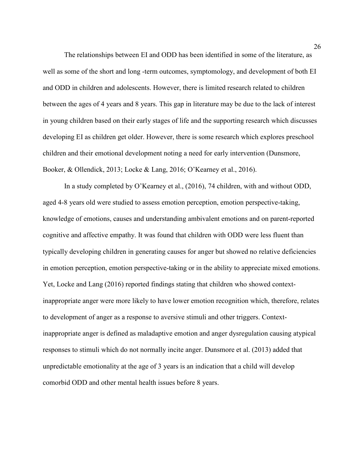The relationships between EI and ODD has been identified in some of the literature, as well as some of the short and long -term outcomes, symptomology, and development of both EI and ODD in children and adolescents. However, there is limited research related to children between the ages of 4 years and 8 years. This gap in literature may be due to the lack of interest in young children based on their early stages of life and the supporting research which discusses developing EI as children get older. However, there is some research which explores preschool children and their emotional development noting a need for early intervention (Dunsmore, Booker, & Ollendick, 2013; Locke & Lang, 2016; O'Kearney et al., 2016).

In a study completed by O'Kearney et al., (2016), 74 children, with and without ODD, aged 4-8 years old were studied to assess emotion perception, emotion perspective-taking, knowledge of emotions, causes and understanding ambivalent emotions and on parent-reported cognitive and affective empathy. It was found that children with ODD were less fluent than typically developing children in generating causes for anger but showed no relative deficiencies in emotion perception, emotion perspective-taking or in the ability to appreciate mixed emotions. Yet, Locke and Lang (2016) reported findings stating that children who showed contextinappropriate anger were more likely to have lower emotion recognition which, therefore, relates to development of anger as a response to aversive stimuli and other triggers. Contextinappropriate anger is defined as maladaptive emotion and anger dysregulation causing atypical responses to stimuli which do not normally incite anger. Dunsmore et al. (2013) added that unpredictable emotionality at the age of 3 years is an indication that a child will develop comorbid ODD and other mental health issues before 8 years.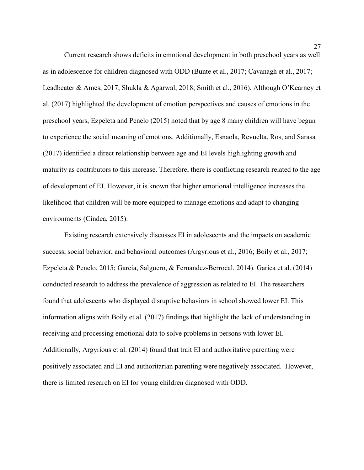Current research shows deficits in emotional development in both preschool years as well as in adolescence for children diagnosed with ODD (Bunte et al., 2017; Cavanagh et al., 2017; Leadbeater & Ames, 2017; Shukla & Agarwal, 2018; Smith et al., 2016). Although O'Kearney et al. (2017) highlighted the development of emotion perspectives and causes of emotions in the preschool years, Ezpeleta and Penelo (2015) noted that by age 8 many children will have begun to experience the social meaning of emotions. Additionally, Esnaola, Revuelta, Ros, and Sarasa (2017) identified a direct relationship between age and EI levels highlighting growth and maturity as contributors to this increase. Therefore, there is conflicting research related to the age of development of EI. However, it is known that higher emotional intelligence increases the likelihood that children will be more equipped to manage emotions and adapt to changing environments (Cindea, 2015).

Existing research extensively discusses EI in adolescents and the impacts on academic success, social behavior, and behavioral outcomes (Argyrious et al., 2016; Boily et al., 2017; Ezpeleta & Penelo, 2015; Garcia, Salguero, & Fernandez-Berrocal, 2014). Garica et al. (2014) conducted research to address the prevalence of aggression as related to EI. The researchers found that adolescents who displayed disruptive behaviors in school showed lower EI. This information aligns with Boily et al. (2017) findings that highlight the lack of understanding in receiving and processing emotional data to solve problems in persons with lower EI. Additionally, Argyrious et al. (2014) found that trait EI and authoritative parenting were positively associated and EI and authoritarian parenting were negatively associated. However, there is limited research on EI for young children diagnosed with ODD.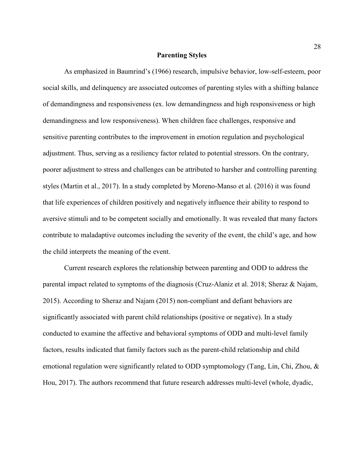#### **Parenting Styles**

As emphasized in Baumrind's (1966) research, impulsive behavior, low-self-esteem, poor social skills, and delinquency are associated outcomes of parenting styles with a shifting balance of demandingness and responsiveness (ex. low demandingness and high responsiveness or high demandingness and low responsiveness). When children face challenges, responsive and sensitive parenting contributes to the improvement in emotion regulation and psychological adjustment. Thus, serving as a resiliency factor related to potential stressors. On the contrary, poorer adjustment to stress and challenges can be attributed to harsher and controlling parenting styles (Martin et al., 2017). In a study completed by Moreno-Manso et al. (2016) it was found that life experiences of children positively and negatively influence their ability to respond to aversive stimuli and to be competent socially and emotionally. It was revealed that many factors contribute to maladaptive outcomes including the severity of the event, the child's age, and how the child interprets the meaning of the event.

Current research explores the relationship between parenting and ODD to address the parental impact related to symptoms of the diagnosis (Cruz-Alaniz et al. 2018; Sheraz & Najam, 2015). According to Sheraz and Najam (2015) non-compliant and defiant behaviors are significantly associated with parent child relationships (positive or negative). In a study conducted to examine the affective and behavioral symptoms of ODD and multi-level family factors, results indicated that family factors such as the parent-child relationship and child emotional regulation were significantly related to ODD symptomology (Tang, Lin, Chi, Zhou, & Hou, 2017). The authors recommend that future research addresses multi-level (whole, dyadic,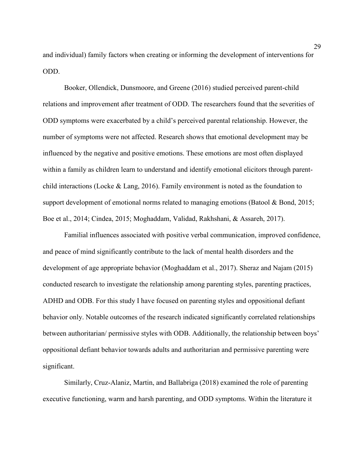and individual) family factors when creating or informing the development of interventions for ODD.

Booker, Ollendick, Dunsmoore, and Greene (2016) studied perceived parent-child relations and improvement after treatment of ODD. The researchers found that the severities of ODD symptoms were exacerbated by a child's perceived parental relationship. However, the number of symptoms were not affected. Research shows that emotional development may be influenced by the negative and positive emotions. These emotions are most often displayed within a family as children learn to understand and identify emotional elicitors through parentchild interactions (Locke & Lang, 2016). Family environment is noted as the foundation to support development of emotional norms related to managing emotions (Batool & Bond, 2015; Boe et al., 2014; Cindea, 2015; Moghaddam, Validad, Rakhshani, & Assareh, 2017).

Familial influences associated with positive verbal communication, improved confidence, and peace of mind significantly contribute to the lack of mental health disorders and the development of age appropriate behavior (Moghaddam et al., 2017). Sheraz and Najam (2015) conducted research to investigate the relationship among parenting styles, parenting practices, ADHD and ODB. For this study I have focused on parenting styles and oppositional defiant behavior only. Notable outcomes of the research indicated significantly correlated relationships between authoritarian/ permissive styles with ODB. Additionally, the relationship between boys' oppositional defiant behavior towards adults and authoritarian and permissive parenting were significant.

Similarly, Cruz-Alaniz, Martin, and Ballabriga (2018) examined the role of parenting executive functioning, warm and harsh parenting, and ODD symptoms. Within the literature it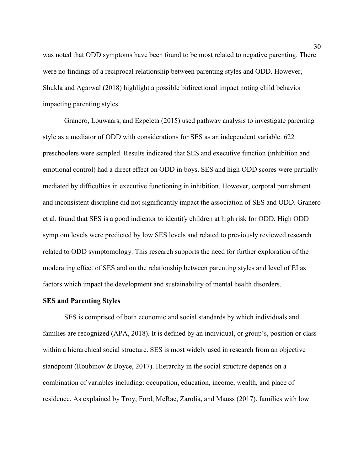was noted that ODD symptoms have been found to be most related to negative parenting. There were no findings of a reciprocal relationship between parenting styles and ODD. However, Shukla and Agarwal (2018) highlight a possible bidirectional impact noting child behavior impacting parenting styles.

Granero, Louwaars, and Ezpeleta (2015) used pathway analysis to investigate parenting style as a mediator of ODD with considerations for SES as an independent variable. 622 preschoolers were sampled. Results indicated that SES and executive function (inhibition and emotional control) had a direct effect on ODD in boys. SES and high ODD scores were partially mediated by difficulties in executive functioning in inhibition. However, corporal punishment and inconsistent discipline did not significantly impact the association of SES and ODD. Granero et al. found that SES is a good indicator to identify children at high risk for ODD. High ODD symptom levels were predicted by low SES levels and related to previously reviewed research related to ODD symptomology. This research supports the need for further exploration of the moderating effect of SES and on the relationship between parenting styles and level of EI as factors which impact the development and sustainability of mental health disorders.

#### **SES and Parenting Styles**

SES is comprised of both economic and social standards by which individuals and families are recognized (APA, 2018). It is defined by an individual, or group's, position or class within a hierarchical social structure. SES is most widely used in research from an objective standpoint (Roubinov & Boyce, 2017). Hierarchy in the social structure depends on a combination of variables including: occupation, education, income, wealth, and place of residence. As explained by Troy, Ford, McRae, Zarolia, and Mauss (2017), families with low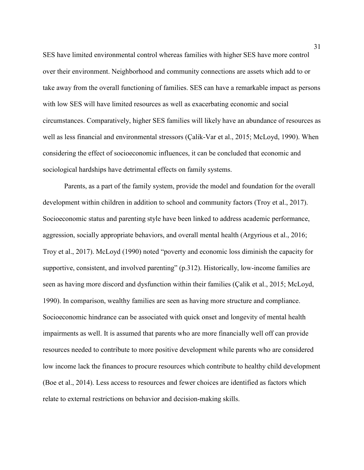SES have limited environmental control whereas families with higher SES have more control over their environment. Neighborhood and community connections are assets which add to or take away from the overall functioning of families. SES can have a remarkable impact as persons with low SES will have limited resources as well as exacerbating economic and social circumstances. Comparatively, higher SES families will likely have an abundance of resources as well as less financial and environmental stressors (Çalik-Var et al., 2015; McLoyd, 1990). When considering the effect of socioeconomic influences, it can be concluded that economic and sociological hardships have detrimental effects on family systems.

Parents, as a part of the family system, provide the model and foundation for the overall development within children in addition to school and community factors (Troy et al., 2017). Socioeconomic status and parenting style have been linked to address academic performance, aggression, socially appropriate behaviors, and overall mental health (Argyrious et al., 2016; Troy et al., 2017). McLoyd (1990) noted "poverty and economic loss diminish the capacity for supportive, consistent, and involved parenting" (p.312). Historically, low-income families are seen as having more discord and dysfunction within their families (Çalik et al., 2015; McLoyd, 1990). In comparison, wealthy families are seen as having more structure and compliance. Socioeconomic hindrance can be associated with quick onset and longevity of mental health impairments as well. It is assumed that parents who are more financially well off can provide resources needed to contribute to more positive development while parents who are considered low income lack the finances to procure resources which contribute to healthy child development (Boe et al., 2014). Less access to resources and fewer choices are identified as factors which relate to external restrictions on behavior and decision-making skills.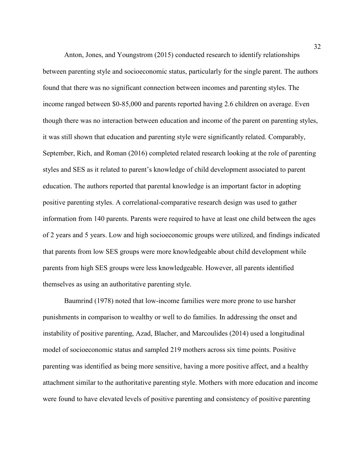Anton, Jones, and Youngstrom (2015) conducted research to identify relationships between parenting style and socioeconomic status, particularly for the single parent. The authors found that there was no significant connection between incomes and parenting styles. The income ranged between \$0-85,000 and parents reported having 2.6 children on average. Even though there was no interaction between education and income of the parent on parenting styles, it was still shown that education and parenting style were significantly related. Comparably, September, Rich, and Roman (2016) completed related research looking at the role of parenting styles and SES as it related to parent's knowledge of child development associated to parent education. The authors reported that parental knowledge is an important factor in adopting positive parenting styles. A correlational-comparative research design was used to gather information from 140 parents. Parents were required to have at least one child between the ages of 2 years and 5 years. Low and high socioeconomic groups were utilized, and findings indicated that parents from low SES groups were more knowledgeable about child development while parents from high SES groups were less knowledgeable. However, all parents identified themselves as using an authoritative parenting style.

Baumrind (1978) noted that low-income families were more prone to use harsher punishments in comparison to wealthy or well to do families. In addressing the onset and instability of positive parenting, Azad, Blacher, and Marcoulides (2014) used a longitudinal model of socioeconomic status and sampled 219 mothers across six time points. Positive parenting was identified as being more sensitive, having a more positive affect, and a healthy attachment similar to the authoritative parenting style. Mothers with more education and income were found to have elevated levels of positive parenting and consistency of positive parenting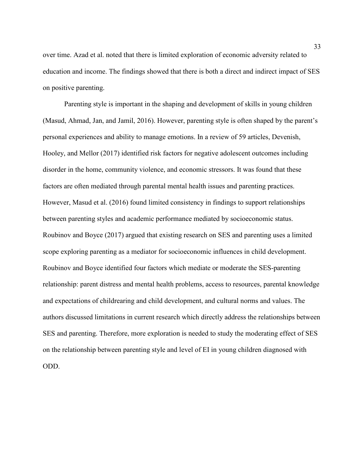over time. Azad et al. noted that there is limited exploration of economic adversity related to education and income. The findings showed that there is both a direct and indirect impact of SES on positive parenting.

Parenting style is important in the shaping and development of skills in young children (Masud, Ahmad, Jan, and Jamil, 2016). However, parenting style is often shaped by the parent's personal experiences and ability to manage emotions. In a review of 59 articles, Devenish, Hooley, and Mellor (2017) identified risk factors for negative adolescent outcomes including disorder in the home, community violence, and economic stressors. It was found that these factors are often mediated through parental mental health issues and parenting practices. However, Masud et al. (2016) found limited consistency in findings to support relationships between parenting styles and academic performance mediated by socioeconomic status. Roubinov and Boyce (2017) argued that existing research on SES and parenting uses a limited scope exploring parenting as a mediator for socioeconomic influences in child development. Roubinov and Boyce identified four factors which mediate or moderate the SES-parenting relationship: parent distress and mental health problems, access to resources, parental knowledge and expectations of childrearing and child development, and cultural norms and values. The authors discussed limitations in current research which directly address the relationships between SES and parenting. Therefore, more exploration is needed to study the moderating effect of SES on the relationship between parenting style and level of EI in young children diagnosed with ODD.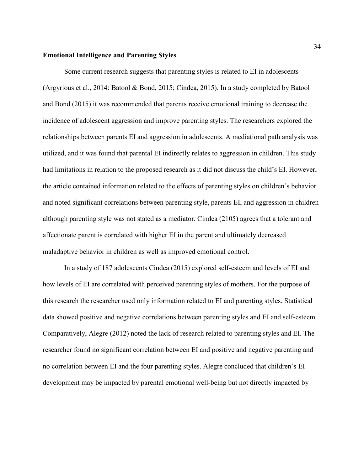### **Emotional Intelligence and Parenting Styles**

Some current research suggests that parenting styles is related to EI in adolescents (Argyrious et al., 2014: Batool & Bond, 2015; Cindea, 2015). In a study completed by Batool and Bond (2015) it was recommended that parents receive emotional training to decrease the incidence of adolescent aggression and improve parenting styles. The researchers explored the relationships between parents EI and aggression in adolescents. A mediational path analysis was utilized, and it was found that parental EI indirectly relates to aggression in children. This study had limitations in relation to the proposed research as it did not discuss the child's EI. However, the article contained information related to the effects of parenting styles on children's behavior and noted significant correlations between parenting style, parents EI, and aggression in children although parenting style was not stated as a mediator. Cindea (2105) agrees that a tolerant and affectionate parent is correlated with higher EI in the parent and ultimately decreased maladaptive behavior in children as well as improved emotional control.

In a study of 187 adolescents Cindea (2015) explored self-esteem and levels of EI and how levels of EI are correlated with perceived parenting styles of mothers. For the purpose of this research the researcher used only information related to EI and parenting styles. Statistical data showed positive and negative correlations between parenting styles and EI and self-esteem. Comparatively, Alegre (2012) noted the lack of research related to parenting styles and EI. The researcher found no significant correlation between EI and positive and negative parenting and no correlation between EI and the four parenting styles. Alegre concluded that children's EI development may be impacted by parental emotional well-being but not directly impacted by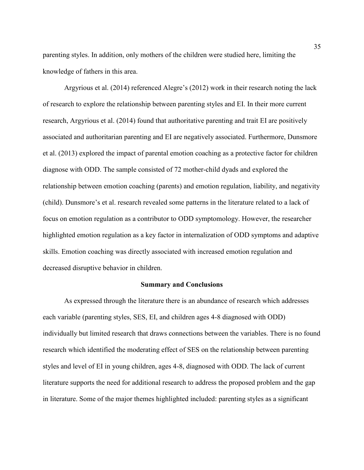parenting styles. In addition, only mothers of the children were studied here, limiting the knowledge of fathers in this area.

Argyrious et al. (2014) referenced Alegre's (2012) work in their research noting the lack of research to explore the relationship between parenting styles and EI. In their more current research, Argyrious et al. (2014) found that authoritative parenting and trait EI are positively associated and authoritarian parenting and EI are negatively associated. Furthermore, Dunsmore et al. (2013) explored the impact of parental emotion coaching as a protective factor for children diagnose with ODD. The sample consisted of 72 mother-child dyads and explored the relationship between emotion coaching (parents) and emotion regulation, liability, and negativity (child). Dunsmore's et al. research revealed some patterns in the literature related to a lack of focus on emotion regulation as a contributor to ODD symptomology. However, the researcher highlighted emotion regulation as a key factor in internalization of ODD symptoms and adaptive skills. Emotion coaching was directly associated with increased emotion regulation and decreased disruptive behavior in children.

## **Summary and Conclusions**

As expressed through the literature there is an abundance of research which addresses each variable (parenting styles, SES, EI, and children ages 4-8 diagnosed with ODD) individually but limited research that draws connections between the variables. There is no found research which identified the moderating effect of SES on the relationship between parenting styles and level of EI in young children, ages 4-8, diagnosed with ODD. The lack of current literature supports the need for additional research to address the proposed problem and the gap in literature. Some of the major themes highlighted included: parenting styles as a significant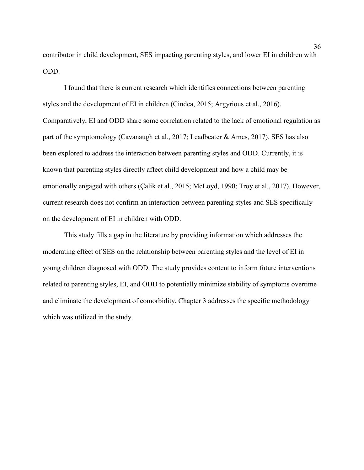contributor in child development, SES impacting parenting styles, and lower EI in children with ODD.

I found that there is current research which identifies connections between parenting styles and the development of EI in children (Cindea, 2015; Argyrious et al., 2016). Comparatively, EI and ODD share some correlation related to the lack of emotional regulation as part of the symptomology (Cavanaugh et al., 2017; Leadbeater & Ames, 2017). SES has also been explored to address the interaction between parenting styles and ODD. Currently, it is known that parenting styles directly affect child development and how a child may be emotionally engaged with others (Çalik et al., 2015; McLoyd, 1990; Troy et al., 2017). However, current research does not confirm an interaction between parenting styles and SES specifically on the development of EI in children with ODD.

This study fills a gap in the literature by providing information which addresses the moderating effect of SES on the relationship between parenting styles and the level of EI in young children diagnosed with ODD. The study provides content to inform future interventions related to parenting styles, EI, and ODD to potentially minimize stability of symptoms overtime and eliminate the development of comorbidity. Chapter 3 addresses the specific methodology which was utilized in the study.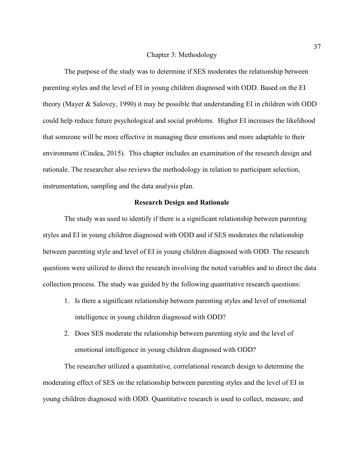#### Chapter 3: Methodology

The purpose of the study was to determine if SES moderates the relationship between parenting styles and the level of EI in young children diagnosed with ODD. Based on the EI theory (Mayer & Salovey, 1990) it may be possible that understanding EI in children with ODD could help reduce future psychological and social problems. Higher EI increases the likelihood that someone will be more effective in managing their emotions and more adaptable to their environment (Cindea, 2015). This chapter includes an examination of the research design and rationale. The researcher also reviews the methodology in relation to participant selection, instrumentation, sampling and the data analysis plan.

### **Research Design and Rationale**

The study was used to identify if there is a significant relationship between parenting styles and EI in young children diagnosed with ODD and if SES moderates the relationship between parenting style and level of EI in young children diagnosed with ODD. The research questions were utilized to direct the research involving the noted variables and to direct the data collection process. The study was guided by the following quantitative research questions:

- 1. Is there a significant relationship between parenting styles and level of emotional intelligence in young children diagnosed with ODD?
- 2. Does SES moderate the relationship between parenting style and the level of emotional intelligence in young children diagnosed with ODD?

The researcher utilized a quantitative, correlational research design to determine the moderating effect of SES on the relationship between parenting styles and the level of EI in young children diagnosed with ODD. Quantitative research is used to collect, measure, and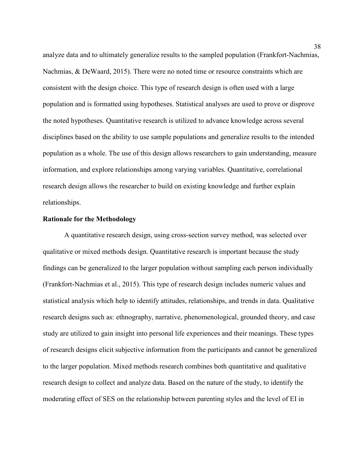analyze data and to ultimately generalize results to the sampled population (Frankfort-Nachmias, Nachmias, & DeWaard, 2015). There were no noted time or resource constraints which are consistent with the design choice. This type of research design is often used with a large population and is formatted using hypotheses. Statistical analyses are used to prove or disprove the noted hypotheses. Quantitative research is utilized to advance knowledge across several disciplines based on the ability to use sample populations and generalize results to the intended population as a whole. The use of this design allows researchers to gain understanding, measure information, and explore relationships among varying variables. Quantitative, correlational research design allows the researcher to build on existing knowledge and further explain relationships.

## **Rationale for the Methodology**

A quantitative research design, using cross-section survey method, was selected over qualitative or mixed methods design. Quantitative research is important because the study findings can be generalized to the larger population without sampling each person individually (Frankfort-Nachmias et al., 2015). This type of research design includes numeric values and statistical analysis which help to identify attitudes, relationships, and trends in data. Qualitative research designs such as: ethnography, narrative, phenomenological, grounded theory, and case study are utilized to gain insight into personal life experiences and their meanings. These types of research designs elicit subjective information from the participants and cannot be generalized to the larger population. Mixed methods research combines both quantitative and qualitative research design to collect and analyze data. Based on the nature of the study, to identify the moderating effect of SES on the relationship between parenting styles and the level of EI in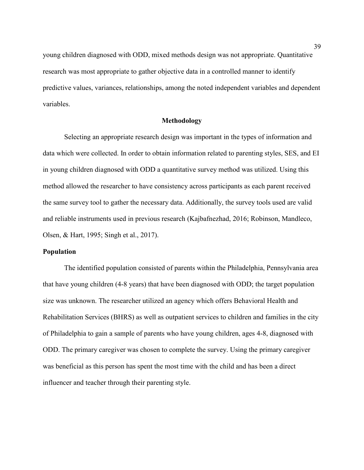young children diagnosed with ODD, mixed methods design was not appropriate. Quantitative research was most appropriate to gather objective data in a controlled manner to identify predictive values, variances, relationships, among the noted independent variables and dependent variables.

## **Methodology**

Selecting an appropriate research design was important in the types of information and data which were collected. In order to obtain information related to parenting styles, SES, and EI in young children diagnosed with ODD a quantitative survey method was utilized. Using this method allowed the researcher to have consistency across participants as each parent received the same survey tool to gather the necessary data. Additionally, the survey tools used are valid and reliable instruments used in previous research (Kajbafnezhad, 2016; Robinson, Mandleco, Olsen, & Hart, 1995; Singh et al., 2017).

#### **Population**

The identified population consisted of parents within the Philadelphia, Pennsylvania area that have young children (4-8 years) that have been diagnosed with ODD; the target population size was unknown. The researcher utilized an agency which offers Behavioral Health and Rehabilitation Services (BHRS) as well as outpatient services to children and families in the city of Philadelphia to gain a sample of parents who have young children, ages 4-8, diagnosed with ODD. The primary caregiver was chosen to complete the survey. Using the primary caregiver was beneficial as this person has spent the most time with the child and has been a direct influencer and teacher through their parenting style.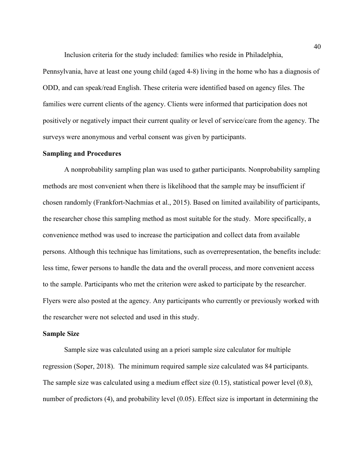Inclusion criteria for the study included: families who reside in Philadelphia,

Pennsylvania, have at least one young child (aged 4-8) living in the home who has a diagnosis of ODD, and can speak/read English. These criteria were identified based on agency files. The families were current clients of the agency. Clients were informed that participation does not positively or negatively impact their current quality or level of service/care from the agency. The surveys were anonymous and verbal consent was given by participants.

# **Sampling and Procedures**

A nonprobability sampling plan was used to gather participants. Nonprobability sampling methods are most convenient when there is likelihood that the sample may be insufficient if chosen randomly (Frankfort-Nachmias et al., 2015). Based on limited availability of participants, the researcher chose this sampling method as most suitable for the study. More specifically, a convenience method was used to increase the participation and collect data from available persons. Although this technique has limitations, such as overrepresentation, the benefits include: less time, fewer persons to handle the data and the overall process, and more convenient access to the sample. Participants who met the criterion were asked to participate by the researcher. Flyers were also posted at the agency. Any participants who currently or previously worked with the researcher were not selected and used in this study.

## **Sample Size**

Sample size was calculated using an a priori sample size calculator for multiple regression (Soper, 2018). The minimum required sample size calculated was 84 participants. The sample size was calculated using a medium effect size (0.15), statistical power level (0.8), number of predictors (4), and probability level (0.05). Effect size is important in determining the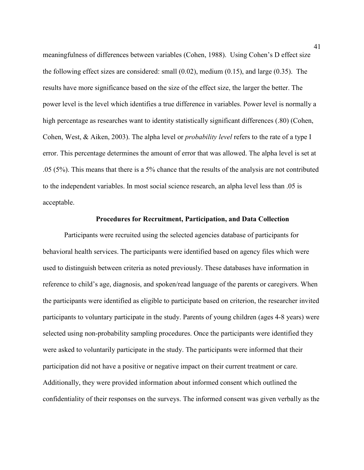meaningfulness of differences between variables (Cohen, 1988). Using Cohen's D effect size the following effect sizes are considered: small (0.02), medium (0.15), and large (0.35). The results have more significance based on the size of the effect size, the larger the better. The power level is the level which identifies a true difference in variables. Power level is normally a high percentage as researches want to identity statistically significant differences (.80) (Cohen, Cohen, West, & Aiken, 2003). The alpha level or *probability level* refers to the rate of a type I error. This percentage determines the amount of error that was allowed. The alpha level is set at .05 (5%). This means that there is a 5% chance that the results of the analysis are not contributed to the independent variables. In most social science research, an alpha level less than .05 is acceptable.

## **Procedures for Recruitment, Participation, and Data Collection**

Participants were recruited using the selected agencies database of participants for behavioral health services. The participants were identified based on agency files which were used to distinguish between criteria as noted previously. These databases have information in reference to child's age, diagnosis, and spoken/read language of the parents or caregivers. When the participants were identified as eligible to participate based on criterion, the researcher invited participants to voluntary participate in the study. Parents of young children (ages 4-8 years) were selected using non-probability sampling procedures. Once the participants were identified they were asked to voluntarily participate in the study. The participants were informed that their participation did not have a positive or negative impact on their current treatment or care. Additionally, they were provided information about informed consent which outlined the confidentiality of their responses on the surveys. The informed consent was given verbally as the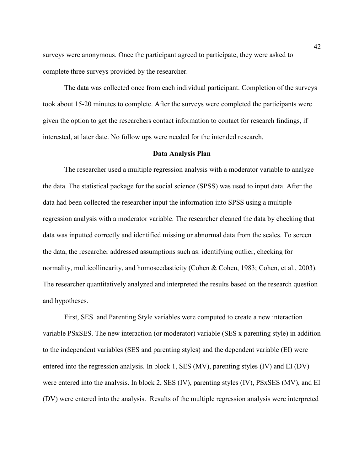surveys were anonymous. Once the participant agreed to participate, they were asked to complete three surveys provided by the researcher.

The data was collected once from each individual participant. Completion of the surveys took about 15-20 minutes to complete. After the surveys were completed the participants were given the option to get the researchers contact information to contact for research findings, if interested, at later date. No follow ups were needed for the intended research.

#### **Data Analysis Plan**

The researcher used a multiple regression analysis with a moderator variable to analyze the data. The statistical package for the social science (SPSS) was used to input data. After the data had been collected the researcher input the information into SPSS using a multiple regression analysis with a moderator variable. The researcher cleaned the data by checking that data was inputted correctly and identified missing or abnormal data from the scales. To screen the data, the researcher addressed assumptions such as: identifying outlier, checking for normality, multicollinearity, and homoscedasticity (Cohen & Cohen, 1983; Cohen, et al., 2003). The researcher quantitatively analyzed and interpreted the results based on the research question and hypotheses.

First, SES and Parenting Style variables were computed to create a new interaction variable PSxSES. The new interaction (or moderator) variable (SES x parenting style) in addition to the independent variables (SES and parenting styles) and the dependent variable (EI) were entered into the regression analysis. In block 1, SES (MV), parenting styles (IV) and EI (DV) were entered into the analysis. In block 2, SES (IV), parenting styles (IV), PSxSES (MV), and EI (DV) were entered into the analysis. Results of the multiple regression analysis were interpreted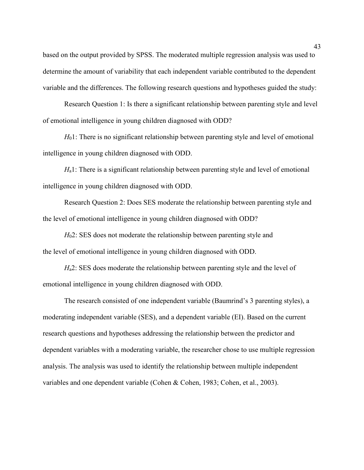based on the output provided by SPSS. The moderated multiple regression analysis was used to determine the amount of variability that each independent variable contributed to the dependent variable and the differences. The following research questions and hypotheses guided the study:

Research Question 1: Is there a significant relationship between parenting style and level of emotional intelligence in young children diagnosed with ODD?

*H*<sub>0</sub>1: There is no significant relationship between parenting style and level of emotional intelligence in young children diagnosed with ODD.

*H*<sub>a</sub>1: There is a significant relationship between parenting style and level of emotional intelligence in young children diagnosed with ODD.

Research Question 2: Does SES moderate the relationship between parenting style and the level of emotional intelligence in young children diagnosed with ODD?

*H*02: SES does not moderate the relationship between parenting style and the level of emotional intelligence in young children diagnosed with ODD.

*H*a2: SES does moderate the relationship between parenting style and the level of emotional intelligence in young children diagnosed with ODD.

The research consisted of one independent variable (Baumrind's 3 parenting styles), a moderating independent variable (SES), and a dependent variable (EI). Based on the current research questions and hypotheses addressing the relationship between the predictor and dependent variables with a moderating variable, the researcher chose to use multiple regression analysis. The analysis was used to identify the relationship between multiple independent variables and one dependent variable (Cohen & Cohen, 1983; Cohen, et al., 2003).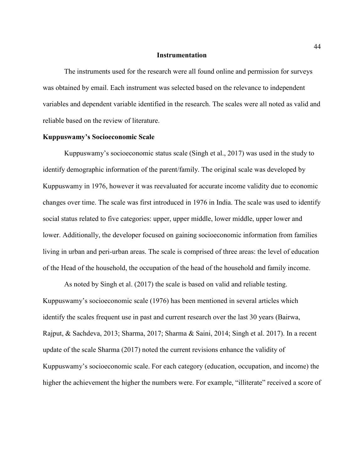#### **Instrumentation**

The instruments used for the research were all found online and permission for surveys was obtained by email. Each instrument was selected based on the relevance to independent variables and dependent variable identified in the research. The scales were all noted as valid and reliable based on the review of literature.

## **Kuppuswamy's Socioeconomic Scale**

Kuppuswamy's socioeconomic status scale (Singh et al., 2017) was used in the study to identify demographic information of the parent/family. The original scale was developed by Kuppuswamy in 1976, however it was reevaluated for accurate income validity due to economic changes over time. The scale was first introduced in 1976 in India. The scale was used to identify social status related to five categories: upper, upper middle, lower middle, upper lower and lower. Additionally, the developer focused on gaining socioeconomic information from families living in urban and peri-urban areas. The scale is comprised of three areas: the level of education of the Head of the household, the occupation of the head of the household and family income.

As noted by Singh et al. (2017) the scale is based on valid and reliable testing. Kuppuswamy's socioeconomic scale (1976) has been mentioned in several articles which identify the scales frequent use in past and current research over the last 30 years (Bairwa, Rajput, & Sachdeva, 2013; Sharma, 2017; Sharma & Saini, 2014; Singh et al. 2017). In a recent update of the scale Sharma (2017) noted the current revisions enhance the validity of Kuppuswamy's socioeconomic scale. For each category (education, occupation, and income) the higher the achievement the higher the numbers were. For example, "illiterate" received a score of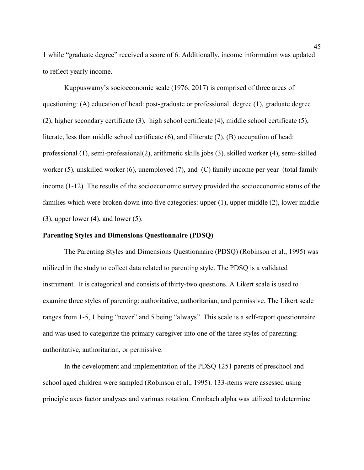1 while "graduate degree" received a score of 6. Additionally, income information was updated to reflect yearly income.

Kuppuswamy's socioeconomic scale (1976; 2017) is comprised of three areas of questioning: (A) education of head: post-graduate or professional degree (1), graduate degree (2), higher secondary certificate (3), high school certificate (4), middle school certificate (5), literate, less than middle school certificate (6), and illiterate (7), (B) occupation of head: professional (1), semi-professional(2), arithmetic skills jobs (3), skilled worker (4), semi-skilled worker (5), unskilled worker (6), unemployed (7), and (C) family income per year (total family income (1-12). The results of the socioeconomic survey provided the socioeconomic status of the families which were broken down into five categories: upper (1), upper middle (2), lower middle  $(3)$ , upper lower  $(4)$ , and lower  $(5)$ .

## **Parenting Styles and Dimensions Questionnaire (PDSQ)**

The Parenting Styles and Dimensions Questionnaire (PDSQ) (Robinson et al., 1995) was utilized in the study to collect data related to parenting style. The PDSQ is a validated instrument. It is categorical and consists of thirty-two questions. A Likert scale is used to examine three styles of parenting: authoritative, authoritarian, and permissive. The Likert scale ranges from 1-5, 1 being "never" and 5 being "always". This scale is a self-report questionnaire and was used to categorize the primary caregiver into one of the three styles of parenting: authoritative, authoritarian, or permissive.

In the development and implementation of the PDSQ 1251 parents of preschool and school aged children were sampled (Robinson et al., 1995). 133-items were assessed using principle axes factor analyses and varimax rotation. Cronbach alpha was utilized to determine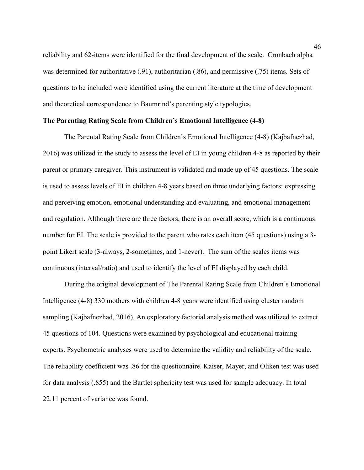reliability and 62-items were identified for the final development of the scale. Cronbach alpha was determined for authoritative (.91), authoritarian (.86), and permissive (.75) items. Sets of questions to be included were identified using the current literature at the time of development and theoretical correspondence to Baumrind's parenting style typologies.

### **The Parenting Rating Scale from Children's Emotional Intelligence (4-8)**

The Parental Rating Scale from Children's Emotional Intelligence (4-8) (Kajbafnezhad, 2016) was utilized in the study to assess the level of EI in young children 4-8 as reported by their parent or primary caregiver. This instrument is validated and made up of 45 questions. The scale is used to assess levels of EI in children 4-8 years based on three underlying factors: expressing and perceiving emotion, emotional understanding and evaluating, and emotional management and regulation. Although there are three factors, there is an overall score, which is a continuous number for EI. The scale is provided to the parent who rates each item (45 questions) using a 3 point Likert scale (3-always, 2-sometimes, and 1-never). The sum of the scales items was continuous (interval/ratio) and used to identify the level of EI displayed by each child.

During the original development of The Parental Rating Scale from Children's Emotional Intelligence (4-8) 330 mothers with children 4-8 years were identified using cluster random sampling (Kajbafnezhad, 2016). An exploratory factorial analysis method was utilized to extract 45 questions of 104. Questions were examined by psychological and educational training experts. Psychometric analyses were used to determine the validity and reliability of the scale. The reliability coefficient was .86 for the questionnaire. Kaiser, Mayer, and Oliken test was used for data analysis (.855) and the Bartlet sphericity test was used for sample adequacy. In total 22.11 percent of variance was found.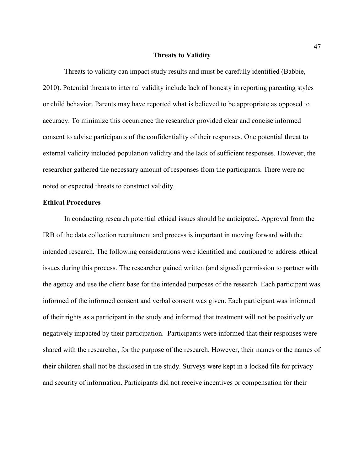#### **Threats to Validity**

Threats to validity can impact study results and must be carefully identified (Babbie, 2010). Potential threats to internal validity include lack of honesty in reporting parenting styles or child behavior. Parents may have reported what is believed to be appropriate as opposed to accuracy. To minimize this occurrence the researcher provided clear and concise informed consent to advise participants of the confidentiality of their responses. One potential threat to external validity included population validity and the lack of sufficient responses. However, the researcher gathered the necessary amount of responses from the participants. There were no noted or expected threats to construct validity.

## **Ethical Procedures**

In conducting research potential ethical issues should be anticipated. Approval from the IRB of the data collection recruitment and process is important in moving forward with the intended research. The following considerations were identified and cautioned to address ethical issues during this process. The researcher gained written (and signed) permission to partner with the agency and use the client base for the intended purposes of the research. Each participant was informed of the informed consent and verbal consent was given. Each participant was informed of their rights as a participant in the study and informed that treatment will not be positively or negatively impacted by their participation. Participants were informed that their responses were shared with the researcher, for the purpose of the research. However, their names or the names of their children shall not be disclosed in the study. Surveys were kept in a locked file for privacy and security of information. Participants did not receive incentives or compensation for their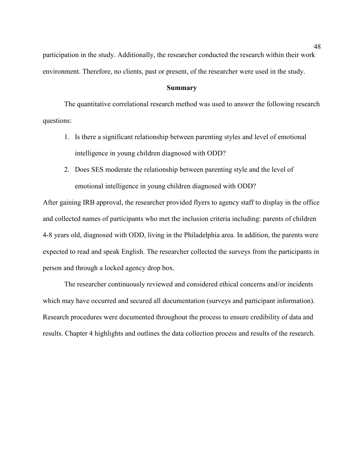participation in the study. Additionally, the researcher conducted the research within their work environment. Therefore, no clients, past or present, of the researcher were used in the study.

### **Summary**

The quantitative correlational research method was used to answer the following research questions:

- 1. Is there a significant relationship between parenting styles and level of emotional intelligence in young children diagnosed with ODD?
- 2. Does SES moderate the relationship between parenting style and the level of emotional intelligence in young children diagnosed with ODD?

After gaining IRB approval, the researcher provided flyers to agency staff to display in the office and collected names of participants who met the inclusion criteria including: parents of children 4-8 years old, diagnosed with ODD, living in the Philadelphia area. In addition, the parents were expected to read and speak English. The researcher collected the surveys from the participants in person and through a locked agency drop box.

The researcher continuously reviewed and considered ethical concerns and/or incidents which may have occurred and secured all documentation (surveys and participant information). Research procedures were documented throughout the process to ensure credibility of data and results. Chapter 4 highlights and outlines the data collection process and results of the research.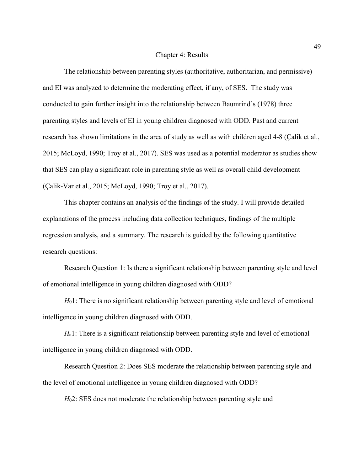#### Chapter 4: Results

The relationship between parenting styles (authoritative, authoritarian, and permissive) and EI was analyzed to determine the moderating effect, if any, of SES. The study was conducted to gain further insight into the relationship between Baumrind's (1978) three parenting styles and levels of EI in young children diagnosed with ODD. Past and current research has shown limitations in the area of study as well as with children aged 4-8 (Çalik et al., 2015; McLoyd, 1990; Troy et al., 2017). SES was used as a potential moderator as studies show that SES can play a significant role in parenting style as well as overall child development (Çalik-Var et al., 2015; McLoyd, 1990; Troy et al., 2017).

This chapter contains an analysis of the findings of the study. I will provide detailed explanations of the process including data collection techniques, findings of the multiple regression analysis, and a summary. The research is guided by the following quantitative research questions:

Research Question 1: Is there a significant relationship between parenting style and level of emotional intelligence in young children diagnosed with ODD?

*H*<sub>0</sub>1: There is no significant relationship between parenting style and level of emotional intelligence in young children diagnosed with ODD.

*H*a1: There is a significant relationship between parenting style and level of emotional intelligence in young children diagnosed with ODD.

Research Question 2: Does SES moderate the relationship between parenting style and the level of emotional intelligence in young children diagnosed with ODD?

*H*<sub>0</sub>2: SES does not moderate the relationship between parenting style and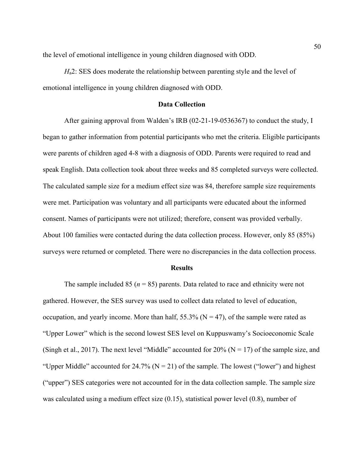the level of emotional intelligence in young children diagnosed with ODD.

*H*a2: SES does moderate the relationship between parenting style and the level of emotional intelligence in young children diagnosed with ODD.

## **Data Collection**

After gaining approval from Walden's IRB (02-21-19-0536367) to conduct the study, I began to gather information from potential participants who met the criteria. Eligible participants were parents of children aged 4-8 with a diagnosis of ODD. Parents were required to read and speak English. Data collection took about three weeks and 85 completed surveys were collected. The calculated sample size for a medium effect size was 84, therefore sample size requirements were met. Participation was voluntary and all participants were educated about the informed consent. Names of participants were not utilized; therefore, consent was provided verbally. About 100 families were contacted during the data collection process. However, only 85 (85%) surveys were returned or completed. There were no discrepancies in the data collection process.

#### **Results**

The sample included 85 ( $n = 85$ ) parents. Data related to race and ethnicity were not gathered. However, the SES survey was used to collect data related to level of education, occupation, and yearly income. More than half,  $55.3\%$  (N = 47), of the sample were rated as "Upper Lower" which is the second lowest SES level on Kuppuswamy's Socioeconomic Scale (Singh et al., 2017). The next level "Middle" accounted for 20% ( $N = 17$ ) of the sample size, and "Upper Middle" accounted for  $24.7\%$  (N = 21) of the sample. The lowest ("lower") and highest ("upper") SES categories were not accounted for in the data collection sample. The sample size was calculated using a medium effect size (0.15), statistical power level (0.8), number of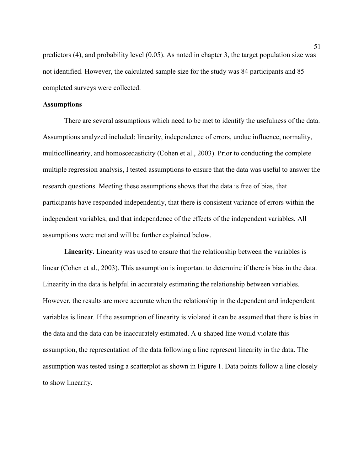predictors (4), and probability level (0.05). As noted in chapter 3, the target population size was not identified. However, the calculated sample size for the study was 84 participants and 85 completed surveys were collected.

## **Assumptions**

There are several assumptions which need to be met to identify the usefulness of the data. Assumptions analyzed included: linearity, independence of errors, undue influence, normality, multicollinearity, and homoscedasticity (Cohen et al., 2003). Prior to conducting the complete multiple regression analysis, I tested assumptions to ensure that the data was useful to answer the research questions. Meeting these assumptions shows that the data is free of bias, that participants have responded independently, that there is consistent variance of errors within the independent variables, and that independence of the effects of the independent variables. All assumptions were met and will be further explained below.

**Linearity.** Linearity was used to ensure that the relationship between the variables is linear (Cohen et al., 2003). This assumption is important to determine if there is bias in the data. Linearity in the data is helpful in accurately estimating the relationship between variables. However, the results are more accurate when the relationship in the dependent and independent variables is linear. If the assumption of linearity is violated it can be assumed that there is bias in the data and the data can be inaccurately estimated. A u-shaped line would violate this assumption, the representation of the data following a line represent linearity in the data. The assumption was tested using a scatterplot as shown in Figure 1. Data points follow a line closely to show linearity.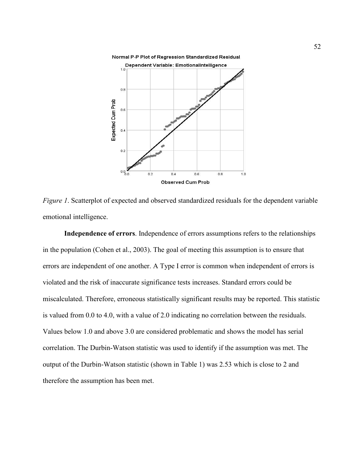Normal P-P Plot of Regression Standardized Residual



*Figure 1*. Scatterplot of expected and observed standardized residuals for the dependent variable emotional intelligence.

**Independence of errors**. Independence of errors assumptions refers to the relationships in the population (Cohen et al., 2003). The goal of meeting this assumption is to ensure that errors are independent of one another. A Type I error is common when independent of errors is violated and the risk of inaccurate significance tests increases. Standard errors could be miscalculated. Therefore, erroneous statistically significant results may be reported. This statistic is valued from 0.0 to 4.0, with a value of 2.0 indicating no correlation between the residuals. Values below 1.0 and above 3.0 are considered problematic and shows the model has serial correlation. The Durbin-Watson statistic was used to identify if the assumption was met. The output of the Durbin-Watson statistic (shown in Table 1) was 2.53 which is close to 2 and therefore the assumption has been met.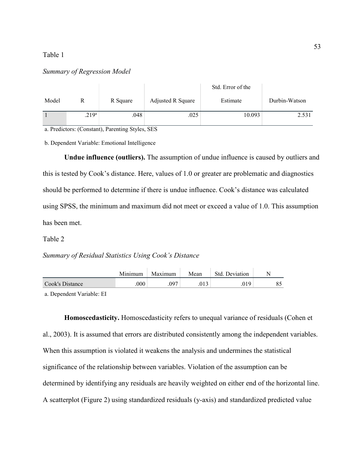### Table 1

### *Summary of Regression Model*

|       |                   |          |                   | Std. Error of the |               |
|-------|-------------------|----------|-------------------|-------------------|---------------|
| Model |                   | R Square | Adjusted R Square | Estimate          | Durbin-Watson |
|       | .219 <sup>a</sup> | .048     | .025              | 10.093            | 2.531         |

a. Predictors: (Constant), Parenting Styles, SES

b. Dependent Variable: Emotional Intelligence

**Undue influence (outliers).** The assumption of undue influence is caused by outliers and this is tested by Cook's distance. Here, values of 1.0 or greater are problematic and diagnostics should be performed to determine if there is undue influence. Cook's distance was calculated using SPSS, the minimum and maximum did not meet or exceed a value of 1.0. This assumption has been met.

Table 2

## *Summary of Residual Statistics Using Cook's Distance*

|                 | Minimum | Maximum | Mean | Std. Deviation |          |
|-----------------|---------|---------|------|----------------|----------|
| Cook's Distance | .000    | ∩Q⊂     |      | 10             | Q۵<br>ده |

a. Dependent Variable: EI

**Homoscedasticity.** Homoscedasticity refers to unequal variance of residuals (Cohen et al., 2003). It is assumed that errors are distributed consistently among the independent variables. When this assumption is violated it weakens the analysis and undermines the statistical significance of the relationship between variables. Violation of the assumption can be determined by identifying any residuals are heavily weighted on either end of the horizontal line. A scatterplot (Figure 2) using standardized residuals (y-axis) and standardized predicted value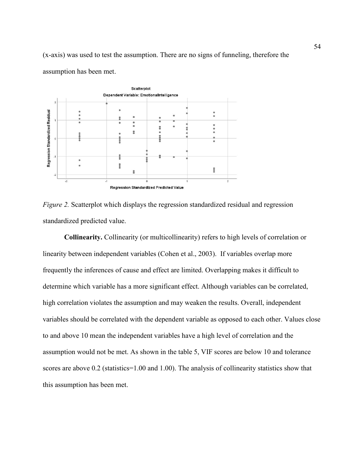(x-axis) was used to test the assumption. There are no signs of funneling, therefore the assumption has been met.





**Collinearity.** Collinearity (or multicollinearity) refers to high levels of correlation or linearity between independent variables (Cohen et al., 2003). If variables overlap more frequently the inferences of cause and effect are limited. Overlapping makes it difficult to determine which variable has a more significant effect. Although variables can be correlated, high correlation violates the assumption and may weaken the results. Overall, independent variables should be correlated with the dependent variable as opposed to each other. Values close to and above 10 mean the independent variables have a high level of correlation and the assumption would not be met. As shown in the table 5, VIF scores are below 10 and tolerance scores are above 0.2 (statistics=1.00 and 1.00). The analysis of collinearity statistics show that this assumption has been met.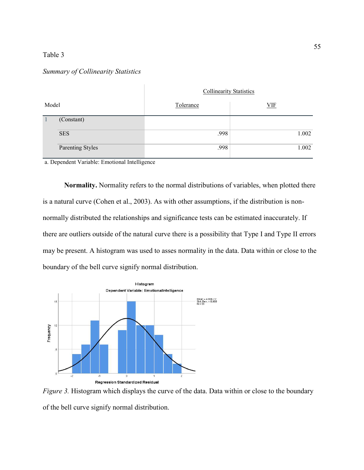## Table 3

## *Summary of Collinearity Statistics*

|       |                  | <b>Collinearity Statistics</b> |            |
|-------|------------------|--------------------------------|------------|
| Model |                  | Tolerance                      | <b>VIF</b> |
|       | (Constant)       |                                |            |
|       | <b>SES</b>       | .998                           | 1.002      |
|       | Parenting Styles | .998                           | 1.002      |

a. Dependent Variable: Emotional Intelligence

**Normality.** Normality refers to the normal distributions of variables, when plotted there is a natural curve (Cohen et al., 2003). As with other assumptions, if the distribution is nonnormally distributed the relationships and significance tests can be estimated inaccurately. If there are outliers outside of the natural curve there is a possibility that Type I and Type II errors may be present. A histogram was used to asses normality in the data. Data within or close to the boundary of the bell curve signify normal distribution.



*Figure 3.* Histogram which displays the curve of the data. Data within or close to the boundary of the bell curve signify normal distribution.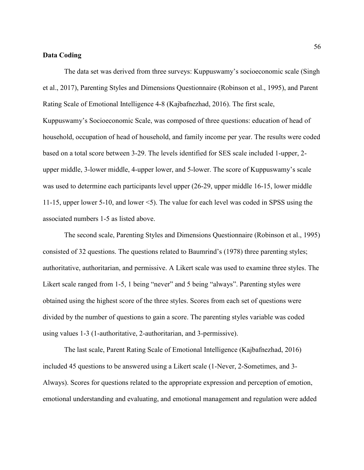## **Data Coding**

The data set was derived from three surveys: Kuppuswamy's socioeconomic scale (Singh et al., 2017), Parenting Styles and Dimensions Questionnaire (Robinson et al., 1995), and Parent Rating Scale of Emotional Intelligence 4-8 (Kajbafnezhad, 2016). The first scale, Kuppuswamy's Socioeconomic Scale, was composed of three questions: education of head of household, occupation of head of household, and family income per year. The results were coded based on a total score between 3-29. The levels identified for SES scale included 1-upper, 2 upper middle, 3-lower middle, 4-upper lower, and 5-lower. The score of Kuppuswamy's scale was used to determine each participants level upper (26-29, upper middle 16-15, lower middle 11-15, upper lower 5-10, and lower <5). The value for each level was coded in SPSS using the associated numbers 1-5 as listed above.

The second scale, Parenting Styles and Dimensions Questionnaire (Robinson et al., 1995) consisted of 32 questions. The questions related to Baumrind's (1978) three parenting styles; authoritative, authoritarian, and permissive. A Likert scale was used to examine three styles. The Likert scale ranged from 1-5, 1 being "never" and 5 being "always". Parenting styles were obtained using the highest score of the three styles. Scores from each set of questions were divided by the number of questions to gain a score. The parenting styles variable was coded using values 1-3 (1-authoritative, 2-authoritarian, and 3-permissive).

The last scale, Parent Rating Scale of Emotional Intelligence (Kajbafnezhad, 2016) included 45 questions to be answered using a Likert scale (1-Never, 2-Sometimes, and 3- Always). Scores for questions related to the appropriate expression and perception of emotion, emotional understanding and evaluating, and emotional management and regulation were added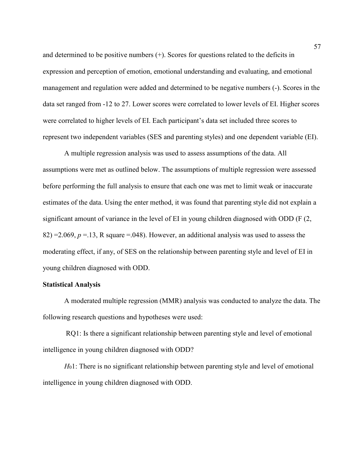and determined to be positive numbers (+). Scores for questions related to the deficits in expression and perception of emotion, emotional understanding and evaluating, and emotional management and regulation were added and determined to be negative numbers (-). Scores in the data set ranged from -12 to 27. Lower scores were correlated to lower levels of EI. Higher scores were correlated to higher levels of EI. Each participant's data set included three scores to represent two independent variables (SES and parenting styles) and one dependent variable (EI).

A multiple regression analysis was used to assess assumptions of the data. All assumptions were met as outlined below. The assumptions of multiple regression were assessed before performing the full analysis to ensure that each one was met to limit weak or inaccurate estimates of the data. Using the enter method, it was found that parenting style did not explain a significant amount of variance in the level of EI in young children diagnosed with ODD (F (2, 82) = 2.069,  $p = 13$ , R square = 048). However, an additional analysis was used to assess the moderating effect, if any, of SES on the relationship between parenting style and level of EI in young children diagnosed with ODD.

## **Statistical Analysis**

A moderated multiple regression (MMR) analysis was conducted to analyze the data. The following research questions and hypotheses were used:

 RQ1: Is there a significant relationship between parenting style and level of emotional intelligence in young children diagnosed with ODD?

*H*<sub>0</sub>1: There is no significant relationship between parenting style and level of emotional intelligence in young children diagnosed with ODD.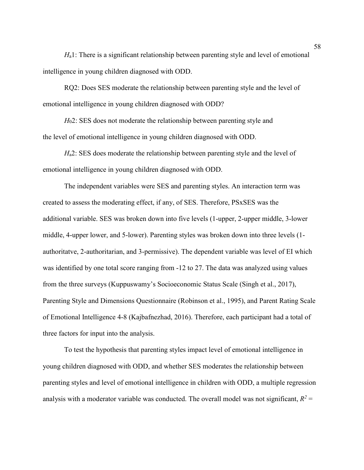*H*<sub>a</sub>1: There is a significant relationship between parenting style and level of emotional intelligence in young children diagnosed with ODD.

RQ2: Does SES moderate the relationship between parenting style and the level of emotional intelligence in young children diagnosed with ODD?

*H*<sub>0</sub>2: SES does not moderate the relationship between parenting style and the level of emotional intelligence in young children diagnosed with ODD.

*H*<sub>a</sub>2: SES does moderate the relationship between parenting style and the level of emotional intelligence in young children diagnosed with ODD.

The independent variables were SES and parenting styles. An interaction term was created to assess the moderating effect, if any, of SES. Therefore, PSxSES was the additional variable. SES was broken down into five levels (1-upper, 2-upper middle, 3-lower middle, 4-upper lower, and 5-lower). Parenting styles was broken down into three levels (1 authoritatve, 2-authoritarian, and 3-permissive). The dependent variable was level of EI which was identified by one total score ranging from -12 to 27. The data was analyzed using values from the three surveys (Kuppuswamy's Socioeconomic Status Scale (Singh et al., 2017), Parenting Style and Dimensions Questionnaire (Robinson et al., 1995), and Parent Rating Scale of Emotional Intelligence 4-8 (Kajbafnezhad, 2016). Therefore, each participant had a total of three factors for input into the analysis.

To test the hypothesis that parenting styles impact level of emotional intelligence in young children diagnosed with ODD, and whether SES moderates the relationship between parenting styles and level of emotional intelligence in children with ODD, a multiple regression analysis with a moderator variable was conducted. The overall model was not significant,  $R^2$  =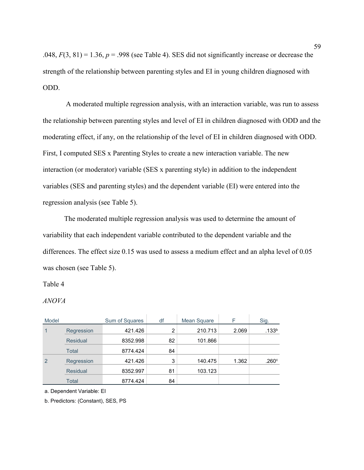.048,  $F(3, 81) = 1.36$ ,  $p = .998$  (see Table 4). SES did not significantly increase or decrease the strength of the relationship between parenting styles and EI in young children diagnosed with ODD.

 A moderated multiple regression analysis, with an interaction variable, was run to assess the relationship between parenting styles and level of EI in children diagnosed with ODD and the moderating effect, if any, on the relationship of the level of EI in children diagnosed with ODD. First, I computed SES x Parenting Styles to create a new interaction variable. The new interaction (or moderator) variable (SES x parenting style) in addition to the independent variables (SES and parenting styles) and the dependent variable (EI) were entered into the regression analysis (see Table 5).

The moderated multiple regression analysis was used to determine the amount of variability that each independent variable contributed to the dependent variable and the differences. The effect size 0.15 was used to assess a medium effect and an alpha level of 0.05 was chosen (see Table 5).

## Table 4

## *ANOVA*

| Model |                 | Sum of Squares | df | Mean Square | F     | Sig.              |
|-------|-----------------|----------------|----|-------------|-------|-------------------|
| 1     | Regression      | 421.426        | 2  | 210.713     | 2.069 | .133 <sup>b</sup> |
|       | <b>Residual</b> | 8352.998       | 82 | 101.866     |       |                   |
|       | Total           | 8774.424       | 84 |             |       |                   |
| 2     | Regression      | 421.426        | 3  | 140.475     | 1.362 | .260c             |
|       | <b>Residual</b> | 8352.997       | 81 | 103.123     |       |                   |
|       | Total           | 8774.424       | 84 |             |       |                   |

a. Dependent Variable: EI

b. Predictors: (Constant), SES, PS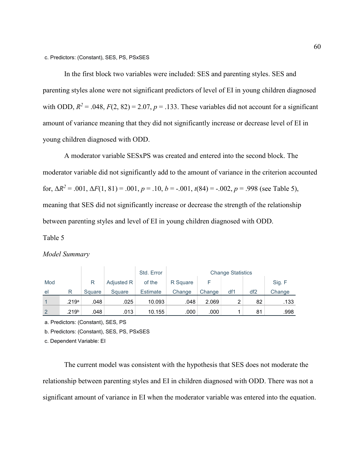c. Predictors: (Constant), SES, PS, PSxSES

In the first block two variables were included: SES and parenting styles. SES and parenting styles alone were not significant predictors of level of EI in young children diagnosed with ODD,  $R^2 = .048$ ,  $F(2, 82) = 2.07$ ,  $p = .133$ . These variables did not account for a significant amount of variance meaning that they did not significantly increase or decrease level of EI in young children diagnosed with ODD.

A moderator variable SESxPS was created and entered into the second block. The moderator variable did not significantly add to the amount of variance in the criterion accounted for,  $\Delta R^2 = .001$ ,  $\Delta F(1, 81) = .001$ ,  $p = .10$ ,  $b = -.001$ ,  $t(84) = -.002$ ,  $p = .998$  (see Table 5), meaning that SES did not significantly increase or decrease the strength of the relationship between parenting styles and level of EI in young children diagnosed with ODD.

## Table 5

## *Model Summary*

|              |                   |        |            | Std. Error      | <b>Change Statistics</b> |        |                |                 |        |
|--------------|-------------------|--------|------------|-----------------|--------------------------|--------|----------------|-----------------|--------|
| Mod          |                   | R      | Adjusted R | of the          | R Square                 |        |                |                 | Sig. F |
| el           | R                 | Square | Square     | <b>Estimate</b> | Change                   | Change | df1            | df <sub>2</sub> | Change |
| $\mathbf{1}$ | .219a             | .048   | .025       | 10.093          | .048                     | 2.069  | $\overline{2}$ | 82              | .133   |
| 2            | .219 <sup>b</sup> | .048   | .013       | 10.155          | .000                     | .000   |                | 81              | .998   |

a. Predictors: (Constant), SES, PS

b. Predictors: (Constant), SES, PS, PSxSES

c. Dependent Variable: EI

The current model was consistent with the hypothesis that SES does not moderate the relationship between parenting styles and EI in children diagnosed with ODD. There was not a significant amount of variance in EI when the moderator variable was entered into the equation.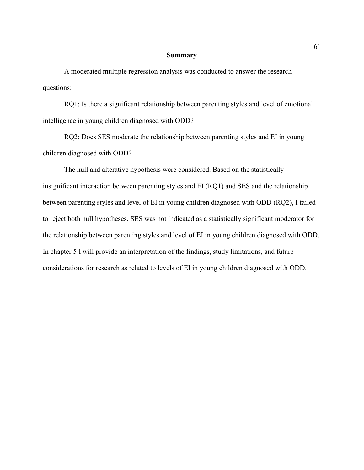### **Summary**

A moderated multiple regression analysis was conducted to answer the research questions:

RQ1: Is there a significant relationship between parenting styles and level of emotional intelligence in young children diagnosed with ODD?

RQ2: Does SES moderate the relationship between parenting styles and EI in young children diagnosed with ODD?

The null and alterative hypothesis were considered. Based on the statistically insignificant interaction between parenting styles and EI (RQ1) and SES and the relationship between parenting styles and level of EI in young children diagnosed with ODD (RQ2), I failed to reject both null hypotheses. SES was not indicated as a statistically significant moderator for the relationship between parenting styles and level of EI in young children diagnosed with ODD. In chapter 5 I will provide an interpretation of the findings, study limitations, and future considerations for research as related to levels of EI in young children diagnosed with ODD.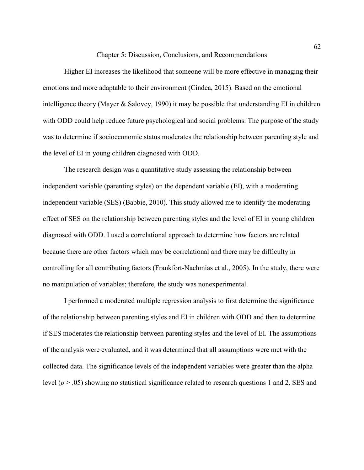Chapter 5: Discussion, Conclusions, and Recommendations

Higher EI increases the likelihood that someone will be more effective in managing their emotions and more adaptable to their environment (Cindea, 2015). Based on the emotional intelligence theory (Mayer & Salovey, 1990) it may be possible that understanding EI in children with ODD could help reduce future psychological and social problems. The purpose of the study was to determine if socioeconomic status moderates the relationship between parenting style and the level of EI in young children diagnosed with ODD.

The research design was a quantitative study assessing the relationship between independent variable (parenting styles) on the dependent variable (EI), with a moderating independent variable (SES) (Babbie, 2010). This study allowed me to identify the moderating effect of SES on the relationship between parenting styles and the level of EI in young children diagnosed with ODD. I used a correlational approach to determine how factors are related because there are other factors which may be correlational and there may be difficulty in controlling for all contributing factors (Frankfort-Nachmias et al., 2005). In the study, there were no manipulation of variables; therefore, the study was nonexperimental.

I performed a moderated multiple regression analysis to first determine the significance of the relationship between parenting styles and EI in children with ODD and then to determine if SES moderates the relationship between parenting styles and the level of EI. The assumptions of the analysis were evaluated, and it was determined that all assumptions were met with the collected data. The significance levels of the independent variables were greater than the alpha level  $(p > .05)$  showing no statistical significance related to research questions 1 and 2. SES and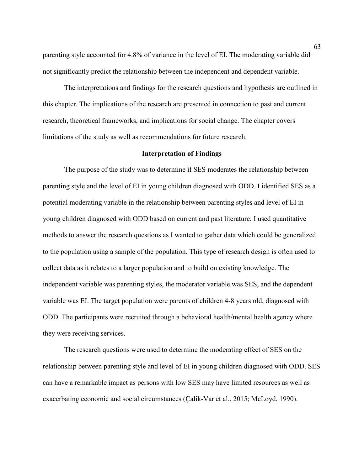parenting style accounted for 4.8% of variance in the level of EI. The moderating variable did not significantly predict the relationship between the independent and dependent variable.

The interpretations and findings for the research questions and hypothesis are outlined in this chapter. The implications of the research are presented in connection to past and current research, theoretical frameworks, and implications for social change. The chapter covers limitations of the study as well as recommendations for future research.

### **Interpretation of Findings**

The purpose of the study was to determine if SES moderates the relationship between parenting style and the level of EI in young children diagnosed with ODD. I identified SES as a potential moderating variable in the relationship between parenting styles and level of EI in young children diagnosed with ODD based on current and past literature. I used quantitative methods to answer the research questions as I wanted to gather data which could be generalized to the population using a sample of the population. This type of research design is often used to collect data as it relates to a larger population and to build on existing knowledge. The independent variable was parenting styles, the moderator variable was SES, and the dependent variable was EI. The target population were parents of children 4-8 years old, diagnosed with ODD. The participants were recruited through a behavioral health/mental health agency where they were receiving services.

The research questions were used to determine the moderating effect of SES on the relationship between parenting style and level of EI in young children diagnosed with ODD. SES can have a remarkable impact as persons with low SES may have limited resources as well as exacerbating economic and social circumstances (Çalik-Var et al., 2015; McLoyd, 1990).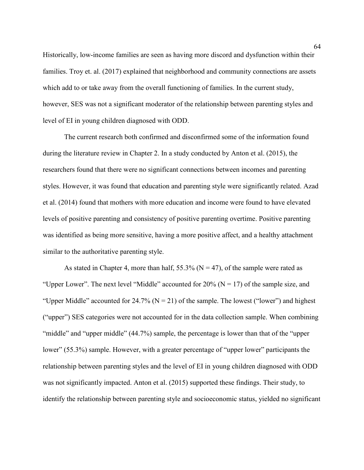Historically, low-income families are seen as having more discord and dysfunction within their families. Troy et. al. (2017) explained that neighborhood and community connections are assets which add to or take away from the overall functioning of families. In the current study, however, SES was not a significant moderator of the relationship between parenting styles and level of EI in young children diagnosed with ODD.

The current research both confirmed and disconfirmed some of the information found during the literature review in Chapter 2. In a study conducted by Anton et al. (2015), the researchers found that there were no significant connections between incomes and parenting styles. However, it was found that education and parenting style were significantly related. Azad et al. (2014) found that mothers with more education and income were found to have elevated levels of positive parenting and consistency of positive parenting overtime. Positive parenting was identified as being more sensitive, having a more positive affect, and a healthy attachment similar to the authoritative parenting style.

As stated in Chapter 4, more than half,  $55.3\%$  (N = 47), of the sample were rated as "Upper Lower". The next level "Middle" accounted for  $20\%$  (N = 17) of the sample size, and "Upper Middle" accounted for  $24.7\%$  (N = 21) of the sample. The lowest ("lower") and highest ("upper") SES categories were not accounted for in the data collection sample. When combining "middle" and "upper middle" (44.7%) sample, the percentage is lower than that of the "upper lower" (55.3%) sample. However, with a greater percentage of "upper lower" participants the relationship between parenting styles and the level of EI in young children diagnosed with ODD was not significantly impacted. Anton et al. (2015) supported these findings. Their study, to identify the relationship between parenting style and socioeconomic status, yielded no significant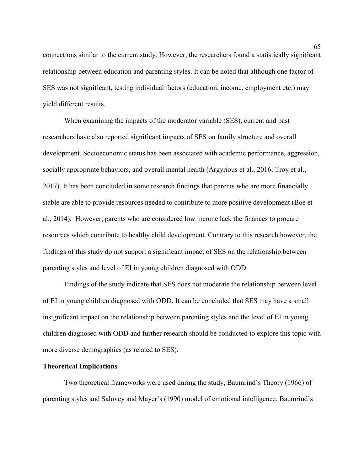connections similar to the current study. However, the researchers found a statistically significant relationship between education and parenting styles. It can be noted that although one factor of SES was not significant, testing individual factors (education, income, employment etc.) may yield different results.

When examining the impacts of the moderator variable (SES), current and past researchers have also reported significant impacts of SES on family structure and overall development. Socioeconomic status has been associated with academic performance, aggression, socially appropriate behaviors, and overall mental health (Argyrious et al., 2016; Troy et al., 2017). It has been concluded in some research findings that parents who are more financially stable are able to provide resources needed to contribute to more positive development (Boe et al., 2014). However, parents who are considered low income lack the finances to procure resources which contribute to healthy child development. Contrary to this research however, the findings of this study do not support a significant impact of SES on the relationship between parenting styles and level of EI in young children diagnosed with ODD.

Findings of the study indicate that SES does not moderate the relationship between level of EI in young children diagnosed with ODD. It can be concluded that SES may have a small insignificant impact on the relationship between parenting styles and the level of EI in young children diagnosed with ODD and further research should be conducted to explore this topic with more diverse demographics (as related to SES).

## **Theoretical Implications**

Two theoretical frameworks were used during the study, Baumrind's Theory (1966) of parenting styles and Salovey and Mayer's (1990) model of emotional intelligence. Baumrind's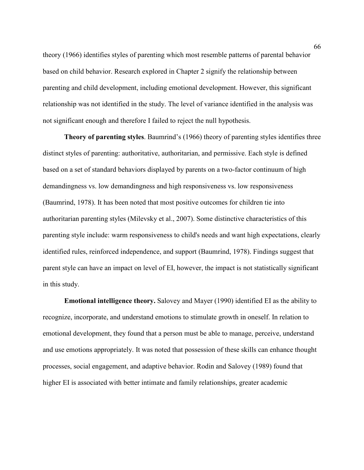theory (1966) identifies styles of parenting which most resemble patterns of parental behavior based on child behavior. Research explored in Chapter 2 signify the relationship between parenting and child development, including emotional development. However, this significant relationship was not identified in the study. The level of variance identified in the analysis was not significant enough and therefore I failed to reject the null hypothesis.

**Theory of parenting styles**. Baumrind's (1966) theory of parenting styles identifies three distinct styles of parenting: authoritative, authoritarian, and permissive. Each style is defined based on a set of standard behaviors displayed by parents on a two-factor continuum of high demandingness vs. low demandingness and high responsiveness vs. low responsiveness (Baumrind, 1978). It has been noted that most positive outcomes for children tie into authoritarian parenting styles (Milevsky et al., 2007). Some distinctive characteristics of this parenting style include: warm responsiveness to child's needs and want high expectations, clearly identified rules, reinforced independence, and support (Baumrind, 1978). Findings suggest that parent style can have an impact on level of EI, however, the impact is not statistically significant in this study.

**Emotional intelligence theory.** Salovey and Mayer (1990) identified EI as the ability to recognize, incorporate, and understand emotions to stimulate growth in oneself. In relation to emotional development, they found that a person must be able to manage, perceive, understand and use emotions appropriately. It was noted that possession of these skills can enhance thought processes, social engagement, and adaptive behavior. Rodin and Salovey (1989) found that higher EI is associated with better intimate and family relationships, greater academic

66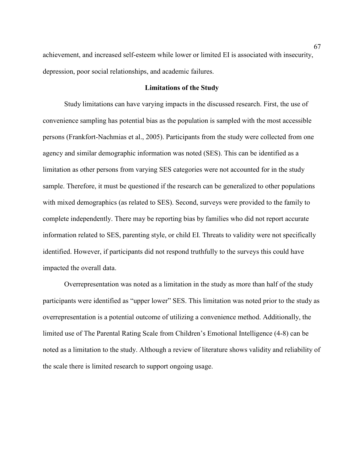achievement, and increased self-esteem while lower or limited EI is associated with insecurity, depression, poor social relationships, and academic failures.

### **Limitations of the Study**

Study limitations can have varying impacts in the discussed research. First, the use of convenience sampling has potential bias as the population is sampled with the most accessible persons (Frankfort-Nachmias et al., 2005). Participants from the study were collected from one agency and similar demographic information was noted (SES). This can be identified as a limitation as other persons from varying SES categories were not accounted for in the study sample. Therefore, it must be questioned if the research can be generalized to other populations with mixed demographics (as related to SES). Second, surveys were provided to the family to complete independently. There may be reporting bias by families who did not report accurate information related to SES, parenting style, or child EI. Threats to validity were not specifically identified. However, if participants did not respond truthfully to the surveys this could have impacted the overall data.

Overrepresentation was noted as a limitation in the study as more than half of the study participants were identified as "upper lower" SES. This limitation was noted prior to the study as overrepresentation is a potential outcome of utilizing a convenience method. Additionally, the limited use of The Parental Rating Scale from Children's Emotional Intelligence (4-8) can be noted as a limitation to the study. Although a review of literature shows validity and reliability of the scale there is limited research to support ongoing usage.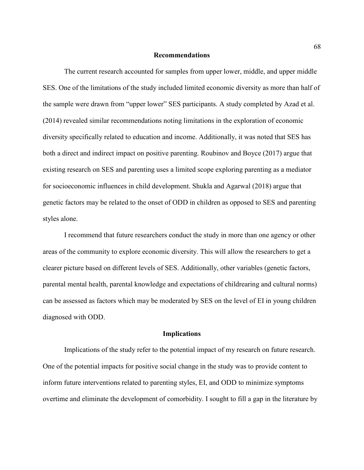#### **Recommendations**

The current research accounted for samples from upper lower, middle, and upper middle SES. One of the limitations of the study included limited economic diversity as more than half of the sample were drawn from "upper lower" SES participants. A study completed by Azad et al. (2014) revealed similar recommendations noting limitations in the exploration of economic diversity specifically related to education and income. Additionally, it was noted that SES has both a direct and indirect impact on positive parenting. Roubinov and Boyce (2017) argue that existing research on SES and parenting uses a limited scope exploring parenting as a mediator for socioeconomic influences in child development. Shukla and Agarwal (2018) argue that genetic factors may be related to the onset of ODD in children as opposed to SES and parenting styles alone.

I recommend that future researchers conduct the study in more than one agency or other areas of the community to explore economic diversity. This will allow the researchers to get a clearer picture based on different levels of SES. Additionally, other variables (genetic factors, parental mental health, parental knowledge and expectations of childrearing and cultural norms) can be assessed as factors which may be moderated by SES on the level of EI in young children diagnosed with ODD.

#### **Implications**

Implications of the study refer to the potential impact of my research on future research. One of the potential impacts for positive social change in the study was to provide content to inform future interventions related to parenting styles, EI, and ODD to minimize symptoms overtime and eliminate the development of comorbidity. I sought to fill a gap in the literature by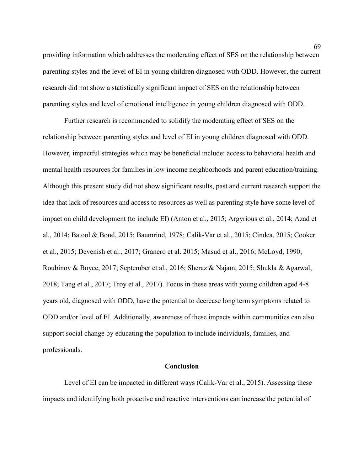providing information which addresses the moderating effect of SES on the relationship between parenting styles and the level of EI in young children diagnosed with ODD. However, the current research did not show a statistically significant impact of SES on the relationship between parenting styles and level of emotional intelligence in young children diagnosed with ODD.

Further research is recommended to solidify the moderating effect of SES on the relationship between parenting styles and level of EI in young children diagnosed with ODD. However, impactful strategies which may be beneficial include: access to behavioral health and mental health resources for families in low income neighborhoods and parent education/training. Although this present study did not show significant results, past and current research support the idea that lack of resources and access to resources as well as parenting style have some level of impact on child development (to include EI) (Anton et al., 2015; Argyrious et al., 2014; Azad et al., 2014; Batool & Bond, 2015; Baumrind, 1978; Calik-Var et al., 2015; Cindea, 2015; Cooker et al., 2015; Devenish et al., 2017; Granero et al. 2015; Masud et al., 2016; McLoyd, 1990; Roubinov & Boyce, 2017; September et al., 2016; Sheraz & Najam, 2015; Shukla & Agarwal, 2018; Tang et al., 2017; Troy et al., 2017). Focus in these areas with young children aged 4-8 years old, diagnosed with ODD, have the potential to decrease long term symptoms related to ODD and/or level of EI. Additionally, awareness of these impacts within communities can also support social change by educating the population to include individuals, families, and professionals.

### **Conclusion**

Level of EI can be impacted in different ways (Calik-Var et al., 2015). Assessing these impacts and identifying both proactive and reactive interventions can increase the potential of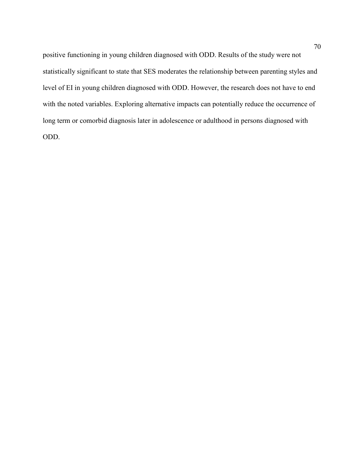positive functioning in young children diagnosed with ODD. Results of the study were not statistically significant to state that SES moderates the relationship between parenting styles and level of EI in young children diagnosed with ODD. However, the research does not have to end with the noted variables. Exploring alternative impacts can potentially reduce the occurrence of long term or comorbid diagnosis later in adolescence or adulthood in persons diagnosed with ODD.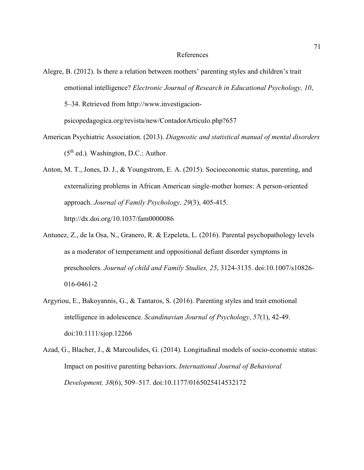### References

- Alegre, B. (2012). Is there a relation between mothers' parenting styles and children's trait emotional intelligence? *Electronic Journal of Research in Educational Psychology, 10*, 5–34. Retrieved from http://www.investigacionpsicopedagogica.org/revista/new/ContadorArticulo.php?657
- American Psychiatric Association. (2013). *Diagnostic and statistical manual of mental disorders*  (5th ed.)*.* Washington, D.C.: Author.
- Anton, M. T., Jones, D. J., & Youngstrom, E. A. (2015). Socioeconomic status, parenting, and externalizing problems in African American single-mother homes: A person-oriented approach. *Journal of Family Psychology, 29*(3), 405-415. http://dx.doi.org/10.1037/fam0000086
- Antunez, Z., de la Osa, N., Granero, R. & Ezpeleta, L. (2016). Parental psychopathology levels as a moderator of temperament and oppositional defiant disorder symptoms in preschoolers. *Journal of child and Family Studies, 25*, 3124-3135. doi:10.1007/s10826- 016-0461-2
- Argyriou, E., Bakoyannis, G., & Tantaros, S. (2016). Parenting styles and trait emotional intelligence in adolescence. *Scandinavian Journal of Psychology*, *57*(1), 42-49. doi:10.1111/sjop.12266
- Azad, G., Blacher, J., & Marcoulides, G. (2014). Longitudinal models of socio-economic status: Impact on positive parenting behaviors. *International Journal of Behavioral Development, 38*(6), 509–517. doi:10.1177/0165025414532172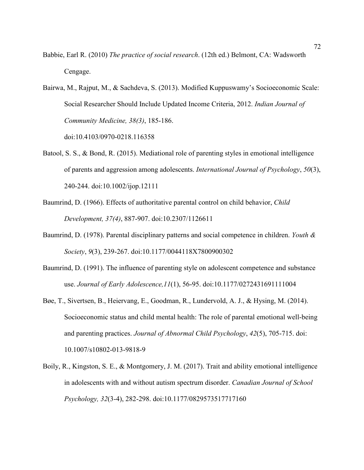- Babbie, Earl R. (2010) *The practice of social research*. (12th ed.) Belmont, CA: Wadsworth Cengage.
- Bairwa, M., Rajput, M., & Sachdeva, S. (2013). Modified Kuppuswamy's Socioeconomic Scale: Social Researcher Should Include Updated Income Criteria, 2012. *Indian Journal of Community Medicine, 38(3)*, 185-186.

doi:10.4103/0970-0218.116358

- Batool, S. S., & Bond, R. (2015). Mediational role of parenting styles in emotional intelligence of parents and aggression among adolescents. *International Journal of Psychology*, *50*(3), 240-244. doi:10.1002/ijop.12111
- Baumrind, D. (1966). Effects of authoritative parental control on child behavior, *Child Development, 37(4)*, 887-907. doi:10.2307/1126611
- Baumrind, D. (1978). Parental disciplinary patterns and social competence in children. *Youth & Society*, *9*(3), 239-267. doi:10.1177/0044118X7800900302
- Baumrind, D. (1991). The influence of parenting style on adolescent competence and substance use. *Journal of Early Adolescence,11*(1), 56-95. doi:10.1177/0272431691111004
- Bøe, T., Sivertsen, B., Heiervang, E., Goodman, R., Lundervold, A. J., & Hysing, M. (2014). Socioeconomic status and child mental health: The role of parental emotional well-being and parenting practices. *Journal of Abnormal Child Psychology*, *42*(5), 705-715. doi: 10.1007/s10802-013-9818-9
- Boily, R., Kingston, S. E., & Montgomery, J. M. (2017). Trait and ability emotional intelligence in adolescents with and without autism spectrum disorder. *Canadian Journal of School Psychology, 32*(3-4), 282-298. doi:10.1177/0829573517717160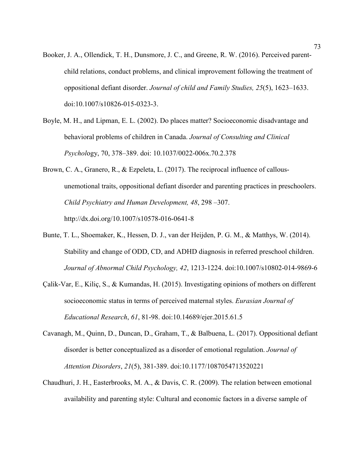- Booker, J. A., Ollendick, T. H., Dunsmore, J. C., and Greene, R. W. (2016). Perceived parentchild relations, conduct problems, and clinical improvement following the treatment of oppositional defiant disorder. *Journal of child and Family Studies, 25*(5), 1623–1633. doi:10.1007/s10826-015-0323-3.
- Boyle, M. H., and Lipman, E. L. (2002). Do places matter? Socioeconomic disadvantage and behavioral problems of children in Canada. *Journal of Consulting and Clinical Psychol*ogy, 70, 378–389. doi: 10.1037/0022-006x.70.2.378
- Brown, C. A., Granero, R., & Ezpeleta, L. (2017). The reciprocal influence of callousunemotional traits, oppositional defiant disorder and parenting practices in preschoolers. *Child Psychiatry and Human Development, 48*, 298 –307. http://dx.doi.org/10.1007/s10578-016-0641-8
- Bunte, T. L., Shoemaker, K., Hessen, D. J., van der Heijden, P. G. M., & Matthys, W. (2014). Stability and change of ODD, CD, and ADHD diagnosis in referred preschool children. *Journal of Abnormal Child Psychology, 42*, 1213-1224. doi:10.1007/s10802-014-9869-6
- Çalik-Var, E., Kiliç, S., & Kumandas, H. (2015). Investigating opinions of mothers on different socioeconomic status in terms of perceived maternal styles. *Eurasian Journal of Educational Research*, *61*, 81-98. doi:10.14689/ejer.2015.61.5
- Cavanagh, M., Quinn, D., Duncan, D., Graham, T., & Balbuena, L. (2017). Oppositional defiant disorder is better conceptualized as a disorder of emotional regulation. *Journal of Attention Disorders*, *21*(5), 381-389. doi:10.1177/1087054713520221
- Chaudhuri, J. H., Easterbrooks, M. A., & Davis, C. R. (2009). The relation between emotional availability and parenting style: Cultural and economic factors in a diverse sample of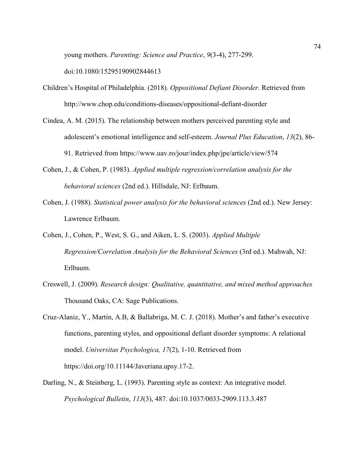young mothers. *Parenting: Science and Practice*, *9*(3-4), 277-299.

doi:10.1080/15295190902844613

- Children's Hospital of Philadelphia. (2018). *Oppositional Defiant Disorder.* Retrieved from http://www.chop.edu/conditions-diseases/oppositional-defiant-disorder
- Cindea, A. M. (2015). The relationship between mothers perceived parenting style and adolescent's emotional intelligence and self-esteem. *Journal Plus Education*, *13*(2), 86- 91. Retrieved from https://www.uav.ro/jour/index.php/jpe/article/view/574
- Cohen, J., & Cohen, P. (1983). *Applied multiple regression/correlation analysis for the behavioral sciences* (2nd ed.). Hillsdale, NJ: Erlbaum.
- Cohen, J. (1988). *Statistical power analysis for the behavioral sciences* (2nd ed.). New Jersey: Lawrence Erlbaum.
- Cohen, J., Cohen, P., West, S. G., and Aiken, L. S. (2003). *Applied Multiple Regression/Correlation Analysis for the Behavioral Sciences* (3rd ed.). Mahwah, NJ: Erlbaum.
- Creswell, J. (2009). *Research design: Qualitative, quantitative, and mixed method approaches* Thousand Oaks, CA: Sage Publications.
- Cruz-Alaniz, Y., Martin, A.B, & Ballabriga, M. C. J. (2018). Mother's and father's executive functions, parenting styles, and oppositional defiant disorder symptoms: A relational model. *Universitas Psychologica, 17*(2), 1-10. Retrieved from https://doi.org/10.11144/Javeriana.upsy.17-2.
- Darling, N., & Steinberg, L. (1993). Parenting style as context: An integrative model. *Psychological Bulletin*, *113*(3), 487. doi:10.1037/0033-2909.113.3.487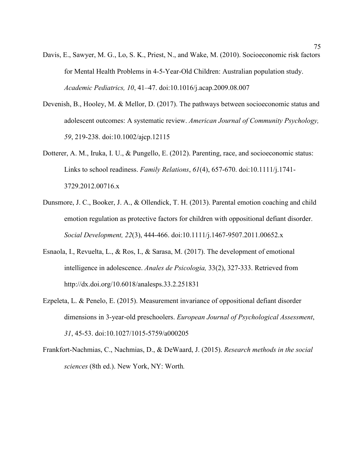- Davis, E., Sawyer, M. G., Lo, S. K., Priest, N., and Wake, M. (2010). Socioeconomic risk factors for Mental Health Problems in 4-5-Year-Old Children: Australian population study. *Academic Pediatrics, 10*, 41–47. doi:10.1016/j.acap.2009.08.007
- Devenish, B., Hooley, M. & Mellor, D. (2017). The pathways between socioeconomic status and adolescent outcomes: A systematic review. *American Journal of Community Psychology, 59*, 219-238. doi:10.1002/ajcp.12115
- Dotterer, A. M., Iruka, I. U., & Pungello, E. (2012). Parenting, race, and socioeconomic status: Links to school readiness. *Family Relations*, *61*(4), 657-670. doi:10.1111/j.1741- 3729.2012.00716.x
- Dunsmore, J. C., Booker, J. A., & Ollendick, T. H. (2013). Parental emotion coaching and child emotion regulation as protective factors for children with oppositional defiant disorder. *Social Development, 22*(3), 444-466. doi:10.1111/j.1467-9507.2011.00652.x
- Esnaola, I., Revuelta, L., & Ros, I., & Sarasa, M. (2017). The development of emotional intelligence in adolescence. *Anales de Psicologia,* 33(2), 327-333. Retrieved from http://dx.doi.org/10.6018/analesps.33.2.251831
- Ezpeleta, L. & Penelo, E. (2015). Measurement invariance of oppositional defiant disorder dimensions in 3-year-old preschoolers. *European Journal of Psychological Assessment*, *31*, 45-53. doi:10.1027/1015-5759/a000205
- Frankfort-Nachmias, C., Nachmias, D., & DeWaard, J. (2015). *Research methods in the social sciences* (8th ed.). New York, NY: Worth*.*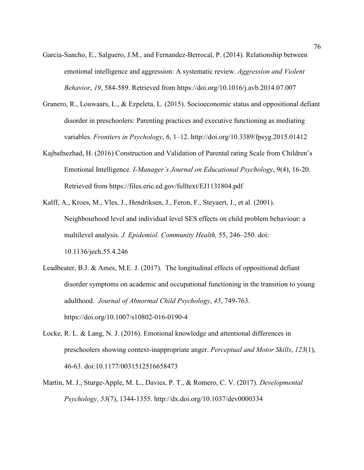- Garcia-Sancho, E., Salguero, J.M., and Fernandez-Berrocal, P. (2014). Relationship between emotional intelligence and aggression: A systematic review. *Aggression and Violent Behavior*, *19*, 584-589. Retrieved from https://doi.org/10.1016/j.avb.2014.07.007
- Granero, R., Louwaars, L., & Ezpeleta, L. (2015). Socioeconomic status and oppositional defiant disorder in preschoolers: Parenting practices and executive functioning as mediating variables. *Frontiers in Psychology*, *6*, 1–12. http://doi.org/10.3389/fpsyg.2015.01412
- Kajbafnezhad, H. (2016) Construction and Validation of Parental rating Scale from Children's Emotional Intelligence. *I-Manager's Journal on Educational Psychology*, 9(4), 16-20. Retrieved from https://files.eric.ed.gov/fulltext/EJ1131804.pdf
- Kalff, A., Kroes, M., Vles, J., Hendriksen, J., Feron, F., Steyaert, J., et al. (2001). Neighbourhood level and individual level SES effects on child problem behaviour: a multilevel analysis. *J. Epidemiol. Community Health,* 55, 246–250. doi: 10.1136/jech.55.4.246
- Leadbeater, B.J. & Ames, M.E. J. (2017). The longitudinal effects of oppositional defiant disorder symptoms on academic and occupational functioning in the transition to young adulthood. *Journal of Abnormal Child Psychology*, *45*, 749-763. https://doi.org/10.1007/s10802-016-0190-4
- Locke, R. L. & Lang, N. J. (2016). Emotional knowledge and attentional differences in preschoolers showing context-inappropriate anger. *Perceptual and Motor Skills*, *123*(1), 46-63. doi:10.1177/0031512516658473
- Martin, M. J., Sturge-Apple, M. L., Davies, P. T., & Romero, C. V. (2017). *Developmental Psychology, 53*(7), 1344-1355. http://dx.doi.org/10.1037/dev0000334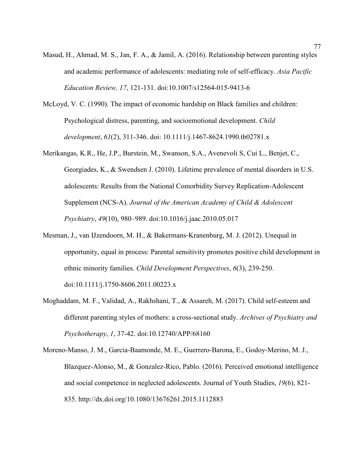- Masud, H., Ahmad, M. S., Jan, F. A., & Jamil, A. (2016). Relationship between parenting styles and academic performance of adolescents: mediating role of self-efficacy. *Asia Pacific Education Review, 17*, 121-131. doi:10.1007/s12564-015-9413-6
- McLoyd, V. C. (1990). The impact of economic hardship on Black families and children: Psychological distress, parenting, and socioemotional development. *Child development*, *61*(2), 311-346. doi: 10.1111/j.1467-8624.1990.tb02781.x
- Merikangas, K.R., He, J.P., Burstein, M., Swanson, S.A., Avenevoli S, Cui L., Benjet, C., Georgiades, K., & Swendsen J. (2010). Lifetime prevalence of mental disorders in U.S. adolescents: Results from the National Comorbidity Survey Replication-Adolescent Supplement (NCS-A). *Journal of the American Academy of Child & Adolescent Psychiatry*, *49*(10), 980–989. doi:10.1016/j.jaac.2010.05.017
- Mesman, J., van IJzendoorn, M. H., & Bakermans‐Kranenburg, M. J. (2012). Unequal in opportunity, equal in process: Parental sensitivity promotes positive child development in ethnic minority families. *Child Development Perspectives*, *6*(3), 239-250. doi:10.1111/j.1750-8606.2011.00223.x
- Moghaddam, M. F., Validad, A., Rakhshani, T., & Assareh, M. (2017). Child self-esteem and different parenting styles of mothers: a cross-sectional study. *Archives of Psychiatry and Psychotherapy*, *1*, 37-42. doi:10.12740/APP/68160
- Moreno-Manso, J. M., Garcia-Baamonde, M. E., Guerrero-Barona, E., Godoy-Merino, M. J., Blazquez-Alonso, M., & Gonzalez-Rico, Pablo. (2016). Perceived emotional intelligence and social competence in neglected adolescents. Journal of Youth Studies, *19*(6), 821- 835. http://dx.doi.org/10.1080/13676261.2015.1112883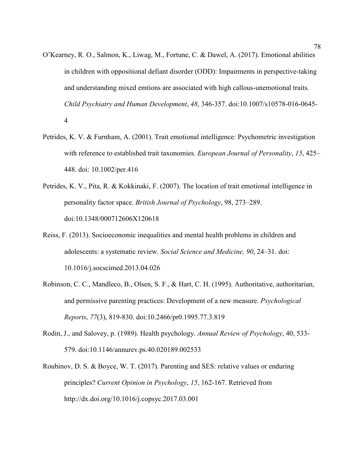- O'Kearney, R. O., Salmon, K., Liwag, M., Fortune, C. & Dawel, A. (2017). Emotional abilities in children with oppositional defiant disorder (ODD): Impairments in perspective-taking and understanding mixed emtions are associated with high callous-unemotional traits. *Child Psychiatry and Human Development*, *48*, 346-357. doi:10.1007/s10578-016-0645- 4
- Petrides, K. V. & Furnham, A. (2001). Trait emotional intelligence: Psychometric investigation with reference to established trait taxonomies. *European Journal of Personality*, *15*, 425– 448. doi: 10.1002/per.416
- Petrides, K. V., Pita, R. & Kokkinaki, F. (2007). The location of trait emotional intelligence in personality factor space. *British Journal of Psychology*, 98, 273–289. doi:10.1348/000712606X120618
- Reiss, F. (2013). Socioeconomic inequalities and mental health problems in children and adolescents: a systematic review. *Social Science and Medicine, 90*, 24–31. doi: 10.1016/j.socscimed.2013.04.026
- Robinson, C. C., Mandleco, B., Olsen, S. F., & Hart, C. H. (1995). Authoritative, authoritarian, and permissive parenting practices: Development of a new measure. *Psychological Reports*, *77*(3), 819-830. doi:10.2466/pr0.1995.77.3.819
- Rodin, J., and Salovey, p. (1989). Health psychology. *Annual Review of Psychology*, 40, 533- 579. doi:10.1146/annurev.ps.40.020189.002533
- Roubinov, D. S. & Boyce, W. T. (2017). Parenting and SES: relative values or enduring principles? *Current Opinion in Psychology*, *15*, 162-167. Retrieved from http://dx.doi.org/10.1016/j.copsyc.2017.03.001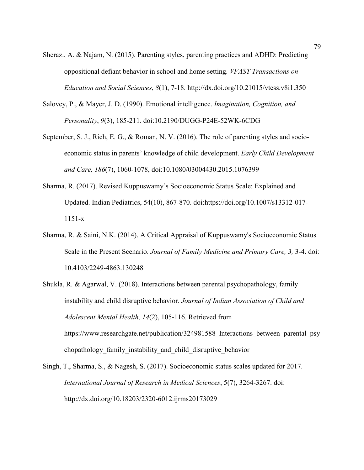- Sheraz., A. & Najam, N. (2015). Parenting styles, parenting practices and ADHD: Predicting oppositional defiant behavior in school and home setting. *VFAST Transactions on Education and Social Sciences*, *8*(1), 7-18. http://dx.doi.org/10.21015/vtess.v8i1.350
- Salovey, P., & Mayer, J. D. (1990). Emotional intelligence. *Imagination, Cognition, and Personality*, *9*(3), 185-211. doi:10.2190/DUGG-P24E-52WK-6CDG
- September, S. J., Rich, E. G., & Roman, N. V. (2016). The role of parenting styles and socioeconomic status in parents' knowledge of child development. *Early Child Development and Care, 186*(7), 1060-1078, doi:10.1080/03004430.2015.1076399
- Sharma, R. (2017). Revised Kuppuswamy's Socioeconomic Status Scale: Explained and Updated. Indian Pediatrics, 54(10), 867-870. doi:https://doi.org/10.1007/s13312-017- 1151-x
- Sharma, R. & Saini, N.K. (2014). A Critical Appraisal of Kuppuswamy's Socioeconomic Status Scale in the Present Scenario. *Journal of Family Medicine and Primary Care, 3,* 3-4. doi: 10.4103/2249-4863.130248
- Shukla, R. & Agarwal, V. (2018). Interactions between parental psychopathology, family instability and child disruptive behavior. *Journal of Indian Association of Child and Adolescent Mental Health, 14*(2), 105-116. Retrieved from https://www.researchgate.net/publication/324981588 Interactions between parental psy chopathology family instability and child disruptive behavior
- Singh, T., Sharma, S., & Nagesh, S. (2017). Socioeconomic status scales updated for 2017. *International Journal of Research in Medical Sciences*, 5(7), 3264-3267. doi: http://dx.doi.org/10.18203/2320-6012.ijrms20173029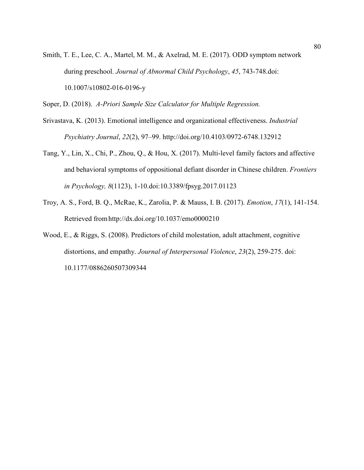Smith, T. E., Lee, C. A., Martel, M. M., & Axelrad, M. E. (2017). ODD symptom network during preschool. *Journal of Abnormal Child Psychology*, *45*, 743-748.doi: 10.1007/s10802-016-0196-y

Soper, D. (2018). *A-Priori Sample Size Calculator for Multiple Regression.* 

- Srivastava, K. (2013). Emotional intelligence and organizational effectiveness. *Industrial Psychiatry Journal*, *22*(2), 97–99. http://doi.org/10.4103/0972-6748.132912
- Tang, Y., Lin, X., Chi, P., Zhou, Q., & Hou, X. (2017). Multi-level family factors and affective and behavioral symptoms of oppositional defiant disorder in Chinese children. *Frontiers in Psychology, 8*(1123), 1-10.doi:10.3389/fpsyg.2017.01123
- Troy, A. S., Ford, B. Q., McRae, K., Zarolia, P. & Mauss, I. B. (2017). *Emotion*, *17*(1), 141-154. Retrieved fromhttp://dx.doi.org/10.1037/emo0000210
- Wood, E., & Riggs, S. (2008). Predictors of child molestation, adult attachment, cognitive distortions, and empathy. *Journal of Interpersonal Violence*, *23*(2), 259-275. doi: 10.1177/0886260507309344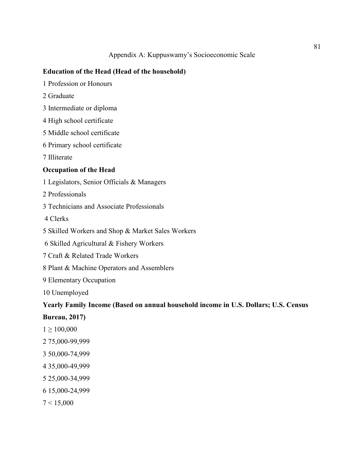## **Education of the Head (Head of the household)**

- 1 Profession or Honours
- 2 Graduate
- 3 Intermediate or diploma
- 4 High school certificate
- 5 Middle school certificate
- 6 Primary school certificate
- 7 Illiterate

## **Occupation of the Head**

- 1 Legislators, Senior Officials & Managers
- 2 Professionals
- 3 Technicians and Associate Professionals
- 4 Clerks
- 5 Skilled Workers and Shop & Market Sales Workers
- 6 Skilled Agricultural & Fishery Workers
- 7 Craft & Related Trade Workers
- 8 Plant & Machine Operators and Assemblers
- 9 Elementary Occupation
- 10 Unemployed

## **Yearly Family Income (Based on annual household income in U.S. Dollars; U.S. Census**

- **Bureau, 2017)**
- $1 \ge 100,000$
- 2 75,000-99,999
- 3 50,000-74,999
- 4 35,000-49,999
- 5 25,000-34,999
- 6 15,000-24,999
- $7 < 15,000$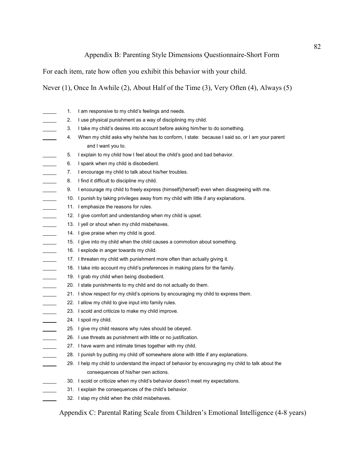# Appendix B: Parenting Style Dimensions Questionnaire-Short Form

For each item, rate how often you exhibit this behavior with your child.

Never (1), Once In Awhile (2), About Half of the Time (3), Very Often (4), Always (5)

|                 | 1.  | I am responsive to my child's feelings and needs.                                                  |
|-----------------|-----|----------------------------------------------------------------------------------------------------|
|                 | 2.  | I use physical punishment as a way of disciplining my child.                                       |
|                 | 3.  | I take my child's desires into account before asking him/her to do something.                      |
|                 | 4.  | When my child asks why he/she has to conform, I state: because I said so, or I am your parent      |
|                 |     | and I want you to.                                                                                 |
|                 | 5.  | I explain to my child how I feel about the child's good and bad behavior.                          |
|                 | 6.  | I spank when my child is disobedient.                                                              |
|                 | 7.  | I encourage my child to talk about his/her troubles.                                               |
| $\sim 10^{-11}$ | 8.  | I find it difficult to discipline my child.                                                        |
|                 | 9.  | I encourage my child to freely express (himself)(herself) even when disagreeing with me.           |
|                 | 10. | I punish by taking privileges away from my child with little if any explanations.                  |
| $\sim 10^{-11}$ | 11. | I emphasize the reasons for rules.                                                                 |
|                 |     | 12. I give comfort and understanding when my child is upset.                                       |
| $\sim$          |     | 13. I yell or shout when my child misbehaves.                                                      |
|                 |     | 14. I give praise when my child is good.                                                           |
|                 |     | 15. I give into my child when the child causes a commotion about something.                        |
|                 | 16. | I explode in anger towards my child.                                                               |
|                 |     | 17. I threaten my child with punishment more often than actually giving it.                        |
|                 |     | 18. I take into account my child's preferences in making plans for the family.                     |
| $\mathcal{L}$   |     | 19. I grab my child when being disobedient.                                                        |
|                 |     | 20. I state punishments to my child and do not actually do them.                                   |
|                 |     | 21. I show respect for my child's opinions by encouraging my child to express them.                |
|                 |     | 22. I allow my child to give input into family rules.                                              |
| $\sim$          |     | 23. I scold and criticize to make my child improve.                                                |
|                 |     | 24. I spoil my child.                                                                              |
|                 | 25. | I give my child reasons why rules should be obeyed.                                                |
|                 | 26. | I use threats as punishment with little or no justification.                                       |
|                 | 27. | I have warm and intimate times together with my child.                                             |
|                 |     | 28. I punish by putting my child off somewhere alone with little if any explanations.              |
|                 |     | 29. I help my child to understand the impact of behavior by encouraging my child to talk about the |
|                 |     | consequences of his/her own actions.                                                               |
|                 |     | 30. I scold or criticize when my child's behavior doesn't meet my expectations.                    |
|                 |     | 31. I explain the consequences of the child's behavior.                                            |
|                 |     | 32. I slap my child when the child misbehaves.                                                     |
|                 |     |                                                                                                    |

Appendix C: Parental Rating Scale from Children's Emotional Intelligence (4-8 years)